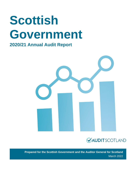# **Scottish Government**

# **2020/21 Annual Audit Report**





**Prepared for the Scottish Government and the Auditor General for Scotland** March 2022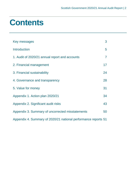# **Contents**

| Key messages                                                   | 3              |
|----------------------------------------------------------------|----------------|
| <b>Introduction</b>                                            | 5              |
| 1. Audit of 2020/21 annual report and accounts                 | $\overline{7}$ |
| 2. Financial management                                        | 17             |
| 3. Financial sustainability                                    | 24             |
| 4. Governance and transparency                                 | 28             |
| 5. Value for money                                             | 31             |
| Appendix 1. Action plan 2020/21                                | 34             |
| Appendix 2. Significant audit risks                            | 43             |
| Appendix 3. Summary of uncorrected misstatements               | 50             |
| Appendix 4. Summary of 2020/21 national performance reports 51 |                |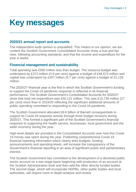# <span id="page-2-0"></span>**Key messages**

# **2020/21 annual report and accounts**

The independent audit opinion is unqualified. This means in our opinion, we are content the Scottish Government Consolidated Accounts show a true and fair view, following accounting standards, and that the income and expenditure for the year is lawful.

# **Financial management and sustainability**

Total spending was £580 million less than budget. The resource budget was underspent by £373 million (0.8 per cent) against a budget of £48,573 million and capital was underspent by £207 million (9.7 per cent) against a budget of £2,128 million.

The 2020/21 financial year is the first in which the Scottish Government's funding to support the Covid-19 pandemic response is reflected in its financial performance. The Scottish Government's Consolidated Accounts for 2020/21 show that total net expenditure was £50,121 million. This was £10,736 million (27 per cent) more than in 2019/20 reflecting the significant additional amounts of public spending committed to responding to the Covid-19 pandemic.

The Scottish Government allocated £8.6 billion of Barnett consequentials to support its Covid-19 response activity through three budget revisions during 2020/21. This formed a significant part of the Scottish Government's financial response to supporting the health service, businesses, local government and the wider economy during the year.

High-level details are provided in the Consolidated Accounts over how this Covid-19 money was spent during the year. Publishing comprehensive Covid-19 financial reporting information which clearly links budgets, funding announcements and spending levels, will increase the transparency of the Government's financial reporting in an area of significant public and parliamentary interest.

The Scottish Government has committed to the development of a devolved public sector account on a two-stage basis beginning with production of an account at the Scottish Administration level and then add the other directly funded bodies. The second stage, which will incorporate NDPBs, other public bodies and local authorities, will require more in-depth analysis and review.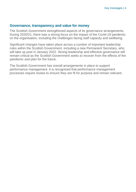# **Governance, transparency and value for money**

The Scottish Government strengthened aspects of its governance arrangements. During 2020/21, there was a strong focus on the impact of the Covid-19 pandemic on the organisation, including the challenges facing staff capacity and wellbeing.

Significant changes have taken place across a number of important leadership roles within the Scottish Government, including a new Permanent Secretary, who will take up post in January 2022. Strong leadership and effective governance will remain critical as the Scottish Government seeks to recover from the effects of the pandemic and plan for the future.

The Scottish Government has overall arrangements in place to support performance management. It is recognised that performance management processes require review to ensure they are fit for purpose and remain relevant.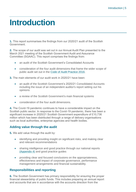# <span id="page-4-0"></span>**Introduction**

**1.** This report summarises the findings from our 2020/21 audit of the Scottish Government.

**2.** The scope of our audit was set out in our Annual Audit Plan presented to the March 2021 meeting of the Scottish Government Audit and Assurance Committee (SGAAC). This report comprises the findings from:

- an audit of the Scottish Government's Consolidated Accounts
- consideration of the four audit dimensions that frame the wider scope of public audit set out in the [Code of Audit Practice 2016.](http://www.audit-scotland.gov.uk/report/code-of-audit-practice-2016)

**3.** The main elements of our audit work in 2020/21 have been:

- an audit of the Scottish Government's 2020/21 Consolidated Accounts including the issue of an independent auditor's report setting out his opinions
- a review of the Scottish Government's main financial systems
- consideration of the four audit dimensions.

**4.** The Covid-19 pandemic continues to have a considerable impact on the Scottish public sector. In response to the Covid-19 pandemic, there has been a significant increase in 2020/21 Scottish Government expenditure of £10,736 million which has been distributed through a range of delivery organisations such as local authorities, enterprise agencies and health bodies.

# **Adding value through the audit**

**5.** We add value through the audit by:

- identifying and providing insight on significant risks, and making clear and relevant recommendations
- sharing intelligence and good practice through our national reports [\(Appendix 4\)](#page-50-0) and good practice guides
- providing clear and focused conclusions on the appropriateness, effectiveness and impact of corporate governance, performance management arrangements and financial sustainability.

# **Responsibilities and reporting**

**6.** The Scottish Government has primary responsibility for ensuring the proper financial stewardship of public funds. This includes preparing an annual report and accounts that are in accordance with the accounts direction from the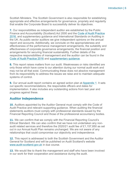Scottish Ministers. The Scottish Government is also responsible for establishing appropriate and effective arrangements for governance, propriety and regularity that enable the Corporate Board to successfully deliver its objectives.

**7.** Our responsibilities as independent auditor are established by the Public Finance and Accountability (Scotland) Act 2000 and the [Code of Audit Practice](https://www.audit-scotland.gov.uk/report/code-of-audit-practice-2016)  [2016,](https://www.audit-scotland.gov.uk/report/code-of-audit-practice-2016) and supplementary guidance and International Standards on Auditing in the UK. As public sector auditors we give independent opinions on the annual report and accounts. Additionally, we conclude on the appropriateness and effectiveness of the performance management arrangements, the suitability and effectiveness of corporate governance arrangements, the financial position and arrangements for securing financial sustainability. Further details of the respective responsibilities of management and the auditor can be found in the [Code of Audit Practice 2016](https://www.audit-scotland.gov.uk/report/code-of-audit-practice-2016) and [supplementary guidance.](https://www.audit-scotland.gov.uk/uploads/docs/um/code_audit_guidance_16_supp.pdf)

**8.** This report raises matters from our audit. Weaknesses or risks identified are only those which have come to our attention during our normal audit work and may not be all that exist. Communicating these does not absolve management from its responsibility to address the issues we raise and to maintain adequate systems of control.

**9.** Our annual audit report contains an agreed action plan at [Appendix 1.](#page-33-0) It sets out specific recommendations, the responsible officers and dates for implementation. It also includes any outstanding actions from last year and progress against these.

# **Auditor Independence**

**10.** Auditors appointed by the Auditor General must comply with the Code of Audit Practice and relevant supporting guidance. When auditing the financial statements auditors must comply with professional standards issued by the Financial Reporting Council and those of the professional accountancy bodies.

**11.** We can confirm that we comply with the Financial Reporting Council's Ethical Standard. We can also confirm that we have not undertaken any nonaudit related services and therefore the 2020/21 audit fee of £1,157,850 as set out in our Annual Audit Plan remains unchanged. We are not aware of any relationships that could compromise our objectivity and independence.

**12.** This report is addressed to both the Scottish Government and the Auditor General for Scotland and will be published on Audit Scotland's website [www.audit-scotland.gov.uk](http://www.audit-scotland.gov.uk/) in due course.

**13.** We would like to thank the management and staff who have been involved in our work for their cooperation and assistance during the audit.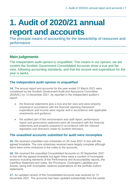# <span id="page-6-0"></span>**1. Audit of 2020/21 annual report and accounts**

The principal means of accounting for the stewardship of resources and performance

# **Main judgements**

The independent audit opinion is unqualified. This means in our opinion, we are content the Scottish Government Consolidated Accounts show a true and fair view, following accounting standards, and that the income and expenditure for the year is lawful.

# **The independent audit opinion is unqualified**

**14.** The annual report and accounts for the year ended 31 March 2021 were considered by the Scottish Government Audit and Assurance Committee (SGAAC) on 13 December 2021. As reported in the independent auditor's report:

- the financial statements give a true and fair view and were properly prepared in accordance with the financial reporting framework expenditure and income were regular and in accordance with applicable enactments and guidance
- the audited part of the remuneration and staff report, performance report and governance statement were all consistent with the financial statements and properly prepared in accordance with the relevant legislation and directions made by Scottish Ministers.

# **The unaudited accounts submitted for audit were incomplete**

<span id="page-6-1"></span>**15.** We received unaudited core schedules on 30 June 2021 in line with the agreed timetable. The core schedules received were largely complete although there were some omissions in the notes to the accounts.

**16.** We received the unaudited Consolidated Accounts on 30 September 2021 in line with the agreed timetable but again there were a number of incomplete sections including elements of the Performance and Accountability reports, the Cashflow Statement and notes, the Provisions, Contingent Liabilities and Assets, along with incomplete variance explanations on the portfolio outturn statements.

**17.** An updated version of the Consolidated Accounts was received on 12 November 2021. The accounts had been updated substantially from the earlier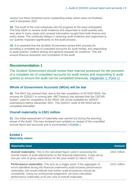version but there remained some outstanding areas which were not finalised until 9 December 2021.

**18.** The audit of the core schedules did not progress at the pace anticipated. The time taken to receive audit evidence and responses to audit queries was very slow in many cases and covered information sought from both finance and policy areas. The continued delays in receiving audit evidence and responses to our queries impacted significantly on the audit process.

**19.** It is essential that the Scottish Government review their process for providing a complete set of unaudited accounts for audit review, and responding to audit queries, matters arising and general requests for evidence. This will ensure timeous resolution and completion of the audit.

# **Recommendation 1**

The Scottish Government should review their internal processes for the provision of a complete set of unaudited accounts for audit review and responding to audit queries to ensure the audit can be completed timeously. [\(Appendix 1, Point 1\)](#page-33-0)

# **Whole of Government Accounts (WGA) will be late**

**20.** The NAO has advised that, due to the late completion of 2019/20 WGA, the process for 2020/21 is running late. HM Treasury has advised that the OSCAR system, used for completion of the WGA, will not be available for 2020/21 submissions before December 2021. The 2020/21 audit of the WGA will be completed thereafter.

# **Overall materiality is £501 million**

**21.** Our initial assessment of materiality was carried out during the planning phase of the audit. This was reviewed and updated on receipt of the unaudited annual report and accounts and is summarised in [Exhibit](#page-7-0) 1.

### <span id="page-7-0"></span>**Exhibit 1 Materiality values**

| <b>Materiality level</b>                                                                                                                                                                                                                                                                                                                                                           | <b>Amount</b> |
|------------------------------------------------------------------------------------------------------------------------------------------------------------------------------------------------------------------------------------------------------------------------------------------------------------------------------------------------------------------------------------|---------------|
| <b>Overall materiality:</b> This is the calculated figure used in assessing the<br>overall impact of audit adjustments on the financial statements. It was set at<br>one per cent of gross expenditure for the year ended 31 March 2021.                                                                                                                                           | £501 million  |
| <b>Performance materiality:</b> This acts as a trigger point. If the aggregate of<br>errors identified during the financial statements audit exceeds performance<br>materiality, this would indicate that further audit procedures should be<br>considered. Using our professional judgement, we have calculated<br>performance materiality at 50 per cent of overall materiality. | £251 million  |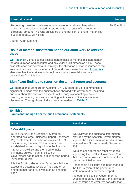| <b>Materiality level</b>                                                                                                                                                                                                                                              | <b>Amount</b> |
|-----------------------------------------------------------------------------------------------------------------------------------------------------------------------------------------------------------------------------------------------------------------------|---------------|
| <b>Reporting threshold:</b> We are required to report to those charged with<br>governance on all unadjusted misstatements in excess of the 'reporting<br>threshold' amount. This was calculated at one per cent of overall materiality<br>but capped at £0.25 million | £0.25 million |

Source: Audit Scotland

### **Risks of material misstatement and our audit work to address these**

**22.** [Appendix 2](#page-42-0) provides our assessment of risks of material misstatement in the annual report and accounts and any wider audit dimension risks. These risks influence our overall audit strategy, the allocation of staff resources to the audit and indicate how the efforts of the audit team were directed. [Appendix 2](#page-42-0) also identifies the work we undertook to address these risks and our conclusions from this work.

# **Significant findings to report on the annual report and accounts**

**23.** International Standard on Auditing (UK) 260 requires us to communicate significant findings from the audit to those charged with governance, including our view about the qualitative aspects of the body's accounting practices, covering accounting policies, accounting estimates and financial statement disclosures. The significant findings are summarised in [Exhibit](#page-8-0) 2.

### <span id="page-8-0"></span>**Exhibit 2 Significant findings from the audit of financial statements**

### **Issue Resolution**

### **1.Covid-19 grants**

During 2020/21, the Scottish Government operated two large Business Support Schemes: Payments from these schemes totalled £1,599 million during the year. The schemes were established to respond quickly to the financial impact of Covid-19 and the need to make payments quickly meant the Scottish Government had to accept a higher-than-normal level of fraud risk.

It is the Scottish Government's responsibility to assess the potential levels of fraud and error and to monitor and review this on an ongoing basis.

We reviewed the additional information provided by the Scottish Government to support the assessment of fraud and error received late November/early December 2021.

We also considered the other evidence supporting the Scottish Government's view that there were low levels of fraud in these grants identified to date.

Reasonable disclosure has been made in the final version of the governance statement and performance report.

Although the Scottish Government is unable to quantify accurately the estimated level of fraud and error, we consider that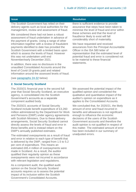The Scottish Government has relied on their delivery agents such as local authorities for the management, review and assessment of fraud.

We considered there had not been a robust assessment of fraud undertaken in advance of the payment of grants. Using a range of other information together with a review of fraudulent payments identified to date has provided the Scottish Government with a limited basis upon which to assess the levels of fraud. However this was not undertaken until end November/early December 2021.

In addition, there was no disclosure in the unaudited Consolidated Accounts around the level of Covid-19 grants paid and related information around the assessed levels of fraud.

(see [paragraphs 24-32](#page-12-0) below)

### **Issue Resolution**

there is sufficient evidence to provide assurance that steps have been taken to minimise the level of fraud and error within these schemes and that the level of fraud/error likely to exist will fall considerably short of materiality.

We have requested and received assurances from the Principal Accountable Officer in the ISA 580 letter of representation that the estimated level of potential fraud and error is considered not to be material to these financial statements.

### **2. Social Security Scotland**

The 2020/21 financial year is the second full year that Social Security Scotland, an executive agency, is consolidated into the Scottish Government's accounts as a separate component audited body.

The 2020/21 accounts of Social Security Scotland include benefit expenditure of £3,260 million administered by the Department for Work and Pensions (DWP) under agency agreements with Scottish Ministers. Due to these delivery arrangements, Social Security Scotland cannot directly assess the levels of fraud and error in these benefits and is instead reliant on the DWP's annually published estimates.

The estimated overpayments as a result of fraud and error in relation to each type of benefit that is delivered by the DWP, ranged from 1.5 to 5.2 per cent of expenditure. This means an estimated £65.4 million of overpayments were made in Scotland. As a result, the auditor qualified their regularity opinion as these overpayments were not incurred in accordance with relevant legislation and regulations.

As a component audit, the qualified audit opinion on the Social Security Scotland accounts requires us to assess the potential impact of its inclusion within the Scottish Government's Consolidated Accounts.

We assessed the potential impact of the qualified opinion and considered the qualitative and quantitative impact of the auditor's opinion on expenditure as it applies to the Consolidated Accounts.

We concluded that, for 2020/21, the likely amount of error and fraud incurred in benefits and allowances is not significant enough to influence the economic decisions of the users of the Scottish Government accounts and therefore the audit opinion is not qualified in respect of this matter. The estimated amount of error has been included in our summary of unadjusted errors.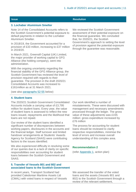### **3. Lochaber Aluminium Smelter**

Note 14 of the Consolidated Accounts refers to the Scottish Government's potential exposure to default payments in relation to the Lochaber Aluminium Smelter.

In 2018/19, the Government accounted for a provision of £33 million, increasing to £37 million in 2019/20.

In March 2021, Greensill Capital (UK) Limited, the major provider of working capital to GFG Alliance (the holding company), went into administration.

With the ongoing uncertainty regarding the financial stability of the GFG Alliance group, the Scottish Government has reviewed the level of provision required with regards to their guarantee. The provision in the draft 2020/21 Consolidated Accounts was increased to £161million as at 31 March 2021.

We reviewed the Scottish Government assessment of their potential exposure on the financial guarantee. We concluded that, for 2020/21, the Scottish Government's approach to setting the level of provision against the potential exposure through the guarantee was reasonable.

(see also [paragraphs 52-55](#page-19-0) below)

#### **4. Student loans**

The 2020/21 Scottish Government Consolidated Accounts include a carrying value of £3,795 million for student loans. Every year, the value of student loans is assessed to reflect the new loans issued, repayments and the likelihood that loans are not repaid.

Our review of the student loans identified a significant number of discrepancies between working papers, disclosures in the accounts and the financial ledger. Staff turnover and limited handover arrangements at Students' Awards Agency for Scotland (SAAS) were contributing factors to the issues identified.

We also experienced difficulty in resolving some of our queries due to a lack of clarity on specific responsibilities over accounting for student loans between the Scottish Government and SAAS.

**5. Transfer of Vessels 801 and 802 and associated loans to the Scottish Government**

In recent years, Transport Scotland had provided Caledonian Maritime Assets Ltd (CMAL) with voted loans in respect of Vessels Our work identified a number of misstatements. These were discussed with management and necessary amendments processed through the ledger. The gross value of these adjustments was £155 million: gross expenditure increased by £76 million

The process for accounting for student loans should be reviewed to clarify respective responsibilities, minimise the level of errors and increase overall understanding of this complex area.

### **Recommendation 2**

(refer [Appendix 1,](#page-33-0) action plan)

We assessed the transfer of the voted loans and the assets (Vessels 801 and 802) to the Scottish Government through a review of the relevant settlement,

#### **Issue Resolution**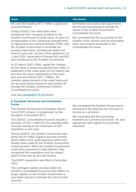| <b>Issue</b>                                                                                                                                                                                                                                                                                                                                                                                                                      | <b>Resolution</b>                                                                                                                                              |  |
|-----------------------------------------------------------------------------------------------------------------------------------------------------------------------------------------------------------------------------------------------------------------------------------------------------------------------------------------------------------------------------------------------------------------------------------|----------------------------------------------------------------------------------------------------------------------------------------------------------------|--|
| 801 and 802 totalling £97.7 million (capital and<br>accrued interest).                                                                                                                                                                                                                                                                                                                                                            | termination and assets sale agreements<br>and the journal postings to include the<br>values in the Scottish Government<br><b>Consolidated Accounts.</b>        |  |
| During 2020/21, the voted loans were<br>transferred from Transport Scotland to the                                                                                                                                                                                                                                                                                                                                                |                                                                                                                                                                |  |
| Scottish Government at book value. As part of a<br>reorganisation of the contractual arrangements,<br>an agreement was reached between CMAL and<br>the Scottish Government to terminate the<br>existing voted loans, including all capital and<br>interest sums due. As part of this agreement, on<br>1 April 2020, ownership of Vessels 801 and 802<br>was transferred to the Scottish Government.                               | We concluded that the accounting for the<br>transfer of the Vessels and the associated<br>loans was properly presented in the<br><b>Consolidated Accounts.</b> |  |
| At 31 March 2020, CMAL valued the Vessels.<br>As the value of assets transferred from CMAL in<br>settlement of the voted loans (£74.8 million) was<br>less than the value outstanding on the loans<br>plus accrued interest (£97.7 million), the<br>residual capital element of the voted loans and<br>the accrued interest balances were written-off<br>through the Scottish Government 2020/21<br><b>Consolidated Accounts.</b> |                                                                                                                                                                |  |
|                                                                                                                                                                                                                                                                                                                                                                                                                                   |                                                                                                                                                                |  |

(see also [paragraphs 45-49](#page-18-0) below)

### **6. European Structural and Investment Funds**

The Scottish Government's European Social Fund (ESF) remains 'in suspension' by the European Commission (EC).

The 2020/21 Consolidated Accounts include a provision of £28.7 million for the potential underrecovery relating to the conversion of ESF operations to unit costs.

During 2020/21, the Scottish Government also wrote off £16 million (against accrued income) which reflects ESF grant payments which had already been made by the Scottish Government to lead partners. When the Scottish Government made these payments to lead partners, they recognised the expenditure and the related grant income due as accrued income.

The ERDF suspension was lifted in December 2020.

The contingent liability included within the 2019/20 Consolidated Accounts (£35 million) no longer applies as the Scottish Government is now better placed to estimate the cost of underrecovery.

We considered the Scottish Government's treatment of the potential non-recovery of income as a provision.

We concluded that the accounting treatment as a provision and write -off, was appropriate with regards to accounting standards.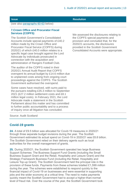(see also [paragraphs 60-63](#page-20-0) below)

### **7.Crown Office and Procurator Fiscal Services (COPFS)**

The Scottish Government's Consolidated Accounts include special payments of £40.2 million made by the Crown Office and Procurator Fiscal Service (COPFS) during 2020/21 of which £40.0 million relates to a specific legal case brought against the Lord Advocate by individuals prosecuted in connection with the acquisition and administration of Rangers Football Club.

The auditor of the COPFS noted in their 2020/21 Annual Audit Report that COPFS overspent its annual budget by £14.6 million due to unplanned costs arising from ongoing court proceedings against the COPFS. The Scottish Government authorised the overspend.

Some cases have resolved, with sums paid to the pursuers totalling £35.3 million to September 2021 (£27.2 million settlement costs and £8.1 million legal costs). In February 2021, the Lord Advocate made a statement in the Scottish Parliament about this matter and has committed to further public accountability and to a process of inquiry once all litigation has concluded.

We assessed the disclosures relating to the COPFS special payments and provision and concluded that, for the 2020/21 accounts, the disclosures provided in the Scottish Government Consolidated Accounts were appropriate.

Source: Audit Scotland

### <span id="page-12-0"></span>**Covid-19 grants**

**24.** A total of £9.5 billion was allocated for Covid-19 measures in 2020/21 through three separate budget revisions during the year. The Scottish Government estimated its actual spend on Covid-19 in 2020/21 was £8.8 billion. The Scottish Government relied on their delivery agents such as local authorities for the overall management of grants.

**25.** During 2020/21, the Scottish Government operated two large Business Support Schemes: The Business Support Fund Grants (including the Small Business Support Grant and the Retail, Hospitality and Leisure Grant) and the Strategic Framework Business Fund (including the Retail, Hospitality and Leisure Top-up Grant). The Scottish Government held the principal role in the provision of these funds. Payments from these schemes totalled £1,599 million during the year. The schemes were established to respond quickly to the financial impact of Covid-19 on businesses and were essential in supporting jobs and the wider economy at a critical time. The need to make payments quickly meant the Scottish Government had to accept a higher-than-normal level of fraud risk. Over the course of the year, the Scottish Government took

### **Issue Resolution**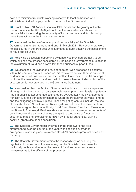action to minimise fraud risk, working closely with local authorities who administered individual payments on behalf of the Government.

**26.** Practice Note 10 Audit of Financial Statements and Regularity of Public Sector Bodies in the UK 2020 sets out that the audited entity retains the responsibility for ensuring the regularity of its transactions and for disclosing these transactions in the financial statements.

**27.** We raised the issue of regularity and responsibility of the Scottish Government in relation to fraud and error in March 2021. However, there were no disclosures in the draft accounts submitted to audit detailing the assessment of fraud and its value.

**28.** Following discussion, supporting evidence was provided promptly to us which outlined the process considered by the Scottish Government in relation to the evaluation of fraud and error within these business support funds.

**29.** We assessed the evidence provided together with proposed disclosures within the annual accounts. Based on this review we believe there is sufficient evidence to provide assurance that the Scottish Government has taken steps to minimise the level of fraud and error within these schemes. A description of this assessment is now provided in the Governance Statement.

**30.** We consider that the Scottish Government estimate of one to two percent, although not robust, is not an unreasonable assumption given levels of potential fraud in public sector schemes estimated by UK Counter Fraud Management Function (0.5 to 5 per cent for schemes where no fraud/error estimate is made) and the mitigating controls in place. These mitigating controls include: the use of the established Non-Domestic Rates systems, retrospective statements of compliance signed by local authority Chief Executive or Director of Finance for the Strategic Framework Business Grant scheme, and advanced statements of compliance for the earlier schemes along with acceptance of funds; an assurance mapping exercise undertaken by 31 local authorities, giving a positive (green) assurance conclusion.

**31.** The Scottish Government's internal control framework has also strengthened over the course of the year, with specific governance arrangements now in place to oversee Covid-19 business grant schemes and recovery.

**32.** The Scottish Government retains the responsibility for ensuring the regularity of transactions. It is necessary for the Scottish Government to continually review and monitor the levels of fraud and error and assure themselves as to the efficacy of the processes.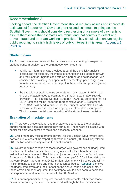# **Recommendation 3**

Looking ahead, the Scottish Government should regularly assess and improve its estimates of fraud/error in Covid-19 grant related schemes. In doing so, the Scottish Government should consider direct testing of a sample of payments to assure themselves that estimates are robust and that controls to detect and prevent fraud and error are working in practice. They should also ensure regular public reporting to satisfy high levels of public interest in this area. [\(Appendix 1,](#page-33-0)  [Point 3\)](#page-33-0)

# **Student loans**

**33.** As noted above we reviewed the disclosure and accounting in respect of student loans. In addition to the point above, we noted that:

- additional information was provided around the sensitivity analysis disclosures for example, the impact of changes in RPI, earning growth and the Bank of England case rate as a percentage point change. We consider that providing the impact of the percentage point range as a monetary value would be more helpful to the reader and provide greater transparency.
- the valuation of student loans depends on many factors. LIBOR was one of the factors used to estimate the Student Loans Sale Subsidy provision. The Financial Conduct Authority (FCA) has confirmed that all LIBOR settings will no longer be representative after 31 December 2021. SAAS will need to ensure that the Student Loans Sale Subsidy provision calculated is based on appropriate alternative assumptions. This increases the risk over valuation of the student loans provision.

### **Evaluation of misstatements**

**34.** There were presentational and monetary adjustments to the unaudited annual report and accounts arising from our audit. These were discussed with senior officials who agreed to make the necessary changes.

**35.** Gross monetary misstatements (errors) for the Scottish Government core portfolios, in excess of the 'reporting threshold' amount (£0.25 million) totalled £641 million and were adjusted in the final accounts.

**36.** We are required to report to those charged with governance all unadjusted misstatements which we identified during our audit, other than those of an insignificant small amount. The total unadjusted errors within the Consolidated Accounts is £149.3 million. This balance is made up of £17.6 million relating to the core Scottish Government, £44.0 million relating to NHS bodies and £87.7 million relating to agencies and other consolidated bodies. [Appendix 3](#page-49-0) shows the unadjusted errors and their impact on the annual report and accounts. If these errors had been adjusted, the net impact would have been to decrease net expenditure and increase net assets by £86.8 million.

**37.** It is our responsibility to request that all misstatements, other than those below the reporting threshold, are corrected, although the final decision on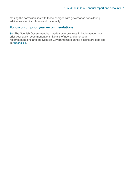making the correction lies with those charged with governance considering advice from senior officers and materiality.

# **Follow up on prior year recommendations**

**38.** The Scottish Government has made some progress in implementing our prior year audit recommendations. Details of new and prior year recommendations and the Scottish Government's planned actions are detailed in [Appendix 1.](#page-33-0)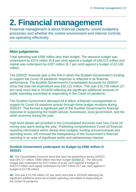# <span id="page-16-0"></span>**2. Financial management**

Financial management is about financial capacity, sound budgetary processes and whether the control environment and internal controls are operating effectively.

# **Main judgements**

Total spending was £580 million less than budget. The resource budget was underspent by £373 million (0.8 per cent) against a budget of £48,573 million and capital was underspent by £207 million (9.7 per cent) against a budget of £2,128 million.

The 2020/21 financial year is the first in which the Scottish Government's funding to support the Covid-19 pandemic response is reflected in its financial performance. The Scottish Government's Consolidated Accounts for 2020/21 show that total net expenditure was £50,121 million. This was £10,736 million (27 per cent) more that in 2019/20 reflecting the significant additional amounts of public spending committed to responding to the Covid-19 pandemic.

The Scottish Government allocated £8.6 billion of Barnett consequentials to support its Covid-19 response activity through three budget revisions during 2020/21. This formed a significant part of the Scottish Government's financial response to supporting the health service, businesses, local government, and the wider economy during the year.

High-level details are provided in the Consolidated Accounts over how Covid-19 money was spent during the year. Publishing comprehensive Covid-19 financial reporting information which clearly links budgets, funding announcements and spending levels, will increase the transparency of the Government's financial reporting in an area of significant public and parliamentary interest.

# **Scottish Government underspent its budget by £580 million in 2020/21**

**39.** The Consolidated Accounts show that total net expenditure during 2020/21 was £50,121 million, £580 million less than budget [\(Exhibit](#page-17-0) 3). The resource budget was underspent by £373 million (0.8 per cent) against a budget of £48,573 million and capital underspent by £207 million (9.7 per cent) against a budget of £2,128 million.

**40.** This was £10,736 million (27 per cent) more that in 2019/20 reflecting the significant additional amounts of public spending committed to responding to the Covid-19 pandemic.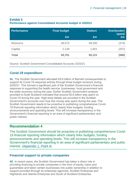### <span id="page-17-0"></span>**Exhibit 3 Performance against Consolidated Accounts budget in 2020/21**

| <b>Performance</b> | <b>Final budget</b> | <b>Outturn</b> | Over/(under)<br>spend |
|--------------------|---------------------|----------------|-----------------------|
|                    | £m                  | £m             | £m                    |
| Resource           | 48,573              | 48,200         | (373)                 |
| Capital            | 2,128               | 1,921          | (207)                 |
| <b>Total</b>       | 50,701              | 50,121         | (580)                 |

Source: Scottish Government Consolidated Accounts 2020/21

# <span id="page-17-1"></span>**Covid-19 expenditure**

**41.** The Scottish Government allocated £8.6 billion of Barnett consequentials to support its Covid-19 response activity through three budget revisions during 2020/21. This formed a significant part of the Scottish Government's financial response to supporting the health service, businesses, local government and the wider economy during the year. Earlier Scottish Government analysis provided to Audit Scotland indicated that around £8.8 billion was spent on Covid-19 during the year. High-level details are provided in the Scottish Government's accounts over how this money was spent during the year. The Scottish Government needs to be proactive in publishing comprehensive Covid-19 financial reporting information which clearly links budgets, funding announcements and spending levels. This will increase transparency in the Government's financial reporting in an area of significant parliamentary and public interest.

# **Recommendation 4**

The Scottish Government should be proactive in publishing comprehensive Covid-19 financial reporting information which clearly links budgets, funding announcements and spending levels. This will increase transparency in the Government's financial reporting in an area of significant parliamentary and public interest. [\(Appendix 1, Point 4\)](#page-33-0)

# **Financial support to private companies**

**42.** In recent years, the Scottish Government has taken a direct role in providing financing to private companies in the form of equity, loans and guarantees and taken certain businesses into public ownership in addition to support provided through its enterprise agencies, Scottish Enterprise and Highlands and Islands Enterprise and South of Scotland Enterprise.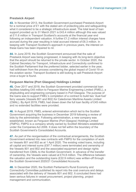### **Prestwick Airport**

**43.** In November 2013, the Scottish Government purchased Prestwick Airport for a nominal price of £1 with the stated aim of protecting jobs and safeguarding what it considered to be a strategic infrastructure asset. The total level of loan support provided up to 31 March 2021 is £43.4 million although this was valued at £11.6 million in Transport Scotland's accounts at the financial year end following an independent valuation. A further £1.2 million interest charges have accrued during the year resulting in total accrued interest of £6.3 million. In keeping with Transport Scotland's approach in previous years, the interest on these loans has been impaired to nil.

**44.** In June 2019, the Scottish Government announced that the sale of Prestwick Airport was being progressed, in keeping with its long-term objective that the airport should be returned to the private sector. In October 2020, the Cabinet Secretary for Transport, Infrastructure and Connectivity confirmed to the Scottish Parliament that the preferred bidder, selected earlier in the year, had withdrawn from the process considering the global impact of Covid-19 on the aviation sector. Transport Scotland is still looking to sell Prestwick Airport once a buyer is found.

### <span id="page-18-0"></span>**Ferguson Marine (Port Glasgow) Holdings Limited**

**45.** Over 2017 and 2018, the Scottish Government provided commercial loan facilities totalling £45 million to Ferguson Marine Engineering Limited (FMEL), a shipbuilding and engineering company based in Port Glasgow. The purpose of the loans was to support FMEL's completion of a contract to build two 'dual-fuel' ferry vessels (Vessels 801 and 802) for Caledonian Maritime Assets Limited (CMAL). By April 2019, FMEL had drawn down the full loan facility of £45 million and no extended facilities were provided.

**46.** In August 2019, FMEL entered administration which led to the Scottish Government acquiring the business in December 2019 following a review of bids by the administrator. Following administration, a new company was established, known as Ferguson Marine (Port Glasgow) Holdings Limited (FMPG). FMPG is a company wholly owned by Scottish Ministers established under the Companies Act 2006. It does not fall within the boundary of the Scottish Government's Consolidated Accounts.

**47.** As part of the reorganisation of the contractual arrangements, the Scottish Government entered into new contracts with FMPG for the completion of work on Vessels 801 and 802 as at 1 April 2020. The existing voted loans, including all capital and interest sums (£97.7 million) were terminated and ownership of the Vessels 801 and 802 and the associated equipment and design rights transferred from CMAL to the Scottish Government. In advance of the transfer of ownership, the Vessels were valued at £74.8 million. The difference between the valuation and the outstanding loans (£22.9 million) was written-off through the Scottish Government 2020/21 Consolidated Accounts.

**48.** In December 2020, the Scottish Parliament's Rural Economy and Connectivity Committee published its report into the cost overruns and delays associated with the delivery of Vessels 801 and 802. It concluded there had been serious failures in vessel procurement, project planning, project management and communication.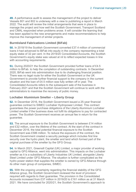**49.** A performance audit to assess the management of the project to deliver Vessels 801 and 802 is underway with a view to publishing a report in March 2022. The audit will review the initial arrangements that were in place to manage the project and how well the Scottish Government, Transport Scotland and CMAL responded when problems arose. It will consider the learning that has been applied to the new arrangements and make recommendations to help improve the management of similar projects.

### **Burntisland Fabrications Limited (BiFab)**

**50.** In 2018/19 the Scottish Government converted £37.4 million of commercial loans it had advanced to BiFab into equity in the company representing a total equity stake of 32 per cent. In the 2019/20 Consolidated Accounts, the Scottish Government's equity stake was valued at nil to reflect expected losses in line with accounting requirements.

**51.** During 2020/21 the Scottish Government provided further loans of £4.5 million to BiFab. to help the completion of outstanding contracts. In December 2020, BiFab went into administration due to its challenging financial position. There was no legal route for either the Scottish Government or the UK Government to provide further financial support to the company in the current situation and the loan of £4.5 million was fully written off in year. The Consolidated Accounts refers to the subsequent sale of the business in February 2021 and that the Scottish Government will continue to work with the administrators to maximise the recovery of public money.

### <span id="page-19-0"></span>**Lochaber Aluminium Smelter – Liberty Group**

**52.** In December 2016, the Scottish Government issued a 25-year financial guarantee contract to SIMEC Lochaber Hydropower Limited. This contract guarantees the power purchase obligations of the Liberty Aluminium Lochaber Limited smelter if the business does not fulfil its obligations to pay for contracted power. The Scottish Government receives an annual fee in return for the guarantee.

**53.** The annual exposure to the Scottish Government is between £14 million and £32 million, over the lifetime of the contract. At the start of the contract in December 2016, the total potential financial exposure to the Scottish Government was £586 million. To reduce the exposure of the contract, the Scottish Government created a security package which includes first line security over the hydro plant, the smelter and land which formed part of the original purchase of the smelter by the GFG Group.

**54.** In March 2021, Greensill Capital (UK) Limited, a major provider of working capital to GFG Alliance, went into administration. This impacts on the Lochaber smelter as it is a subsidiary of Liberty Industries UK Limited, alongside Liberty Steel Limited under GFG Alliance. The situation is further complicated as the hydro power station that supplies the smelter is owned by GFG Alliance through its other main group of companies, SIMEC.

**55.** With the ongoing uncertainty regarding the financial stability of the GFG Alliance group, the Scottish Government reviewed the level of provision required with regards to their guarantee. The provision in the Consolidated Accounts increased from £37 million in 2019/20 to £161 million as at 31 March 2021. We have concluded for 2020/21, the Scottish Government's approach to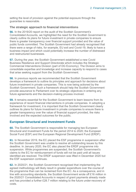setting the level of provision against the potential exposure through the guarantee is reasonable.

### **The strategic approach to financial interventions**

**56.** In the 2019/20 report on the audit of the Scottish Government's Consolidated Accounts, we highlighted the need for the Scottish Government to clearly outline its plans for future investment in private companies to ensure there is greater transparency over financial support provided and the value of public funds committed. The Scottish Government had already recognised that there were a range of risks, for example, EU exit and Covid-19, likely to have a business impact and which could potentially increase the number of distressed and restructured businesses

**57.** During the year, the Scottish Government established a new Covid Business Resilience and Support Directorate which includes the Strategic Commercial Interventions Division (part of DG Economy). The Division aims to consolidate expertise and knowledge and increase capacity to respond to cases that arise seeking support from the Scottish Government.

**58.** In previous reports we recommended that the Scottish Government develops a framework to outline its principles and approach for decisions about future investment in private companies. This is now being actioned by the Scottish Government. Such a framework should help the Scottish Government provide assurance to Parliament over its strategic objectives in entering any future agreements and the decision-making process involved.

**59.** It remains essential for the Scottish Government to learn lessons from its experience of recent financial interventions in private companies. In adopting a framework for investment, it is important that the Scottish Government clearly outlines its plans for future investment in private companies to ensure there is greater transparency over the value of financial support provided, the risks involved and the expected outcomes for the public.

# <span id="page-20-0"></span>**European Structural and Investment Funds**

**60.** The Scottish Government is responsible for managing two European Structural and Investment Funds for the period 2014 to 2020; the European Social Fund (ESF) and the European Regional Development Fund (ERDF).

**61.** In November 2019, the EC placed the ESF programme in suspension after the Scottish Government was unable to resolve all outstanding issues by this deadline. In January 2020, the EC also placed the ERDF programme into suspension. While programmes are suspended, the Scottish Government's claims to the EC for reimbursement of funds will not be paid until all issues identified are resolved. The ERDF suspension was lifted in December 2020 but the ESF suspension continues.

**62.** In 2020/21, the Scottish Government recognised that implementing the agreed methodology will likely result in greater expenditure over the course of the programme than can be reclaimed from the EC. As a consequence, and in line with accounting standards, the Scottish Government wrote off £16 million in the 2020/21 Consolidated Accounts in respect of grant payments already made and has provided a further £28.7 million relating to the future under-recovery of costs.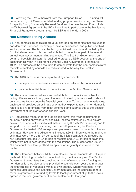**63.** Following the UK's withdrawal from the European Union, ESF funding will be replaced by UK Government-led funding programmes including the Shared Prosperity Fund, Community Renewal Fund and the Levelling-up Fund. Under the Withdrawal Agreement, the UK will continue to participate in the Multiannual Financial Framework programmes, like ESF, until it ends in 2023.

# **Non-Domestic Rating Account**

**64.** Non-domestic rates (NDR) are a tax charged on properties that are used for non-domestic purposes, for example, private businesses, and public and third sector properties. The tax is collected by individual councils and pooled by the Scottish Government. It is then redistributed to councils as part of the overall annual local government funding settlement. The Scottish Government, on behalf of Scottish Ministers, is required to prepare a NDR account at the end of each financial year, in accordance with the Local Government Finance Act 1992. The purpose of the account is to demonstrate that the non-domestic rates receipts collected by councils are redistributed to them by the Scottish Government.

**65.** The NDR account is made up of two key components:

- receipts from non-domestic rates income collected by councils; and
- payments redistributed to councils from the Scottish Government.

**66.** The amounts received from and redistributed to councils are subject to timing differences as, in any year, the amount raised by non-domestic rates will only become known once the financial year is over. To help manage variances, each council provides an estimate of what they expect to raise in non-domestic rates, less any retentions from relief schemes, and submits this to the Scottish Government at the start of each financial year.

**67.** Regulations made under the legislation permit mid-year adjustments to councils' funding only where revised NDR income estimates by councils are below 97 per cent of their initial estimates. During the 2020/21 financial year, to support councils' cashflows during the Covid-19 pandemic, the Scottish Government adjusted NDR receipts and payments based on councils' mid-year estimates. However, the adjustments included £60.3 million where the mid-year estimates were more than 97 per cent of the initial estimates. As a result, the NDR account includes £40.4 million of receipts and £19.9 million of payments which were not in accordance with the regulations. The auditor of the 2020/21 NDR account therefore qualified his opinion on regularity in relation to this matter.

**68.** The differences between NDR estimates and actual amounts do not impact the level of funding provided to councils during the financial year. The Scottish Government guarantees the combined amount of revenue grant funding and non-domestic rates distributions provided to councils each year and manages the financial risk of variances within its own budget. Where variances in nondomestic rates occur, the Scottish Government adjusts the council's general revenue grant to ensure funding levels to local government align to the levels agreed in the local government finance settlement for that year.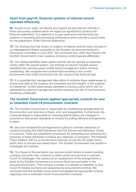# **Apart from payroll, financial systems of internal control operated effectively**

**69.** As part of our audit, we identify and inspect the key internal controls in those accounting systems which we regard as significant to produce the financial statements. Our objective is to gain assurance that the body has systems of recording and processing transactions which provide a sound basis for the preparation of the financial statements.

**70.** Our findings from the review of systems of internal controls were included in our Management Report presented to the Scottish Government Audit and Assurance Committee in June 2021. We concluded that, other than Payroll, the Scottish Government's main systems of internal control operate effectively.

**71.** Our testing identified cases where controls did not operate as expected, mainly within the payroll system. Our findings on payroll included actions identified from previous years' audits where management action remains outstanding. We recognise that several improvements to the control environment have been introduced over the course of the financial year.

**72.** It is essential that management take action to address these weaknesses to ensure that risks to the systems are minimised and the integrity of the systems is maintained. Control weaknesses identified in previous years which are not addressed by planned management actions increase the risk of fraud and error remaining undetected.

### **The Scottish Government applied appropriate controls for new or extended Covid-19 procurement contracts**

**73.** The Scottish Government is responsible for establishing arrangements for the prevention and detection of fraud, error and irregularities. Furthermore, the Corporate Board is responsible for ensuring that its affairs are managed in accordance with proper standards of conduct by putting effective arrangements in place.

**74.** We have reviewed the arrangements in place to maintain standards of conduct including (the Staff Handbook and Civil Service and Members' Codes of Conduct). There are established procedures for preventing and detecting any breaches of these standards including any instances of corruption. The National Fraud Initiative (NFI) is a counter-fraud exercise across the UK public sector which aims to prevent and detect fraud. The Scottish Government has started to investigate the matches.

**75.** The impact of the pandemic has required public bodies to extend existing contracts and enter new contracts to obtain goods and services to address Covid-19 challenges. We carried out an assessment of the arrangements in place at the Scottish Government to prevent fraud and corruption in the procurement function. This included a review of a sample of extended or new Covid-19 related contracts and assessing the procurement controls. We concluded that the Scottish Government had applied the appropriate controls regarding new or extended Covid-19 procurement contracts.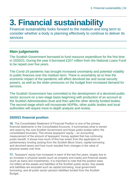# <span id="page-23-0"></span>**3. Financial sustainability**

Financial sustainability looks forward to the medium and long term to consider whether a body is planning effectively to continue to deliver its services

# **Main judgements**

The Scottish Government borrowed to fund resource expenditure for the first time in 2020/21. During the year it borrowed £207 million from the National Loans Fund to be repaid over five years.

The Covid-19 pandemic has brought increased uncertainty and potential volatility to public finances over the medium term. There is uncertainty as to how the economic impact of the pandemic will affect devolved tax and social security powers, as well as the wider pressures on the budget from increased demand for services.

The Scottish Government has committed to the development of a devolved public sector account on a two-stage basis beginning with production of an account at the Scottish Administration level and then add the other directly funded bodies. The second stage which will incorporate NDPBs, other public bodies and local authorities will require more in-depth analysis and review.

# **2020/21 financial position**

**76.** The Consolidated Statement of Financial Position is one of the primary financial statements in the Consolidated Accounts. It summarises what is owned and owed by the core Scottish Government and those public bodies within the consolidated boundary. This shows taxpayers' equity – an accounting measurement of the amount of taxpayers' money applied that has continuing public benefit. It shows how much of this has arisen from the application of parliamentary funding (arising from the Scottish Block Grant, capital borrowing and devolved taxes) and how much resulted from changes in the value of physical assets over time.

**77.** Taxpayers' equity has increased in each of the last five years, largely due to an increase in physical assets (such as property and roads) and financial assets (such as loans and investments). It is important to note that the position does not reflect all the assets and liabilities of the Scottish public sector. Key assets and liabilities are excluded such as capital borrowing, local government borrowing, and all public sector pension liabilities funded from the Scottish Budget.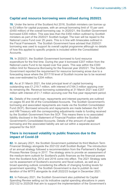# **Capital and resource borrowing were utilised during 2020/21**

**78.** Under the terms of the Scotland Act 2016, Scottish ministers can borrow up to £3 billion for capital purposes, with an annual borrowing limit of 15 per cent (£450 million) of the overall borrowing cap. In 2020/21, the Scottish Government borrowed £200 million. This was less than the £450 million outlined by Scottish ministers as part of the 2020/21 Scottish budget. The loan will be repaid to the National Loans Fund over 25 years. This is in line with timescales outlined in the Fiscal Framework. The Scottish Government have advised that 2020/21 borrowing was used to support its overall capital programme although no details of how this applied to specific projects is included within the Consolidated **Accounts** 

**79.** In 2020/21, the Scottish Government borrowed to fund resource expenditure for the first time. During the year it borrowed £207 million from the National Loans Fund to be repaid over five years. This was within the £300 million limit for Resource Borrowing for the financial year 2020/21. The Scottish Government reported the requirement for resource borrowing arose due to a forecasting issue where the 2017/18 level of Scottish income tax to be received was over-estimated by £204 million.

**80.** As at 31 March 2021, the total principal level of capital borrowing outstanding was £1,219.7 million, with interest of £164.3 million applying over its remaining life. Revenue borrowing outstanding at 31 March 2021 was £207 million with interest of £1.7 million accruing over the five-year repayment period.

**81.** Details of the overall loan, repayments and interest payments are outlined on pages 55 and 56 of the Consolidated Accounts. The Scottish Government's borrowing and associated repayments are made via the Scottish Consolidated Fund (SCF). Borrowed amounts and repayments are made between the SCF and HM Treasury with the corresponding adjustments made to funding received by the Scottish Government from the SCF. This means there is no associated liability disclosed in the Statement of Financial Position within the Scottish Government's Consolidated Accounts. Details of the amount of capital borrowing and the associated liability are set out within a separate account prepared for the SCF.

### **There is increased volatility to public finances due to the impact of Covid-19**

**82.** In January 2021, the Scottish Government published its third Medium Term Financial Strategy alongside the 2021/22 draft Scottish Budget. The introduction of an annual strategy followed a recommendation from the Parliament's Budget Process Review Group in 2017. The strategy aims to provide an assessment of the medium-term outlook for Scotland's public finances as the financial powers from the Scotland Acts 2012 and 2016 come into effect. The 2021 Strategy sets out its assessment of Scotland's economic and fiscal outlook, as well as a broad spending outlook considering the effects of changing funding levels for government spending. The Scottish Government is due to publish its next iteration of the MTFS alongside its draft 2022/23 budget in December 2021.

**83.** In February 2021, the Scottish Government also published its Capital Spending Review setting out its indicative capital spending allocations in years 2021/22 to 2025/26 that aim to support the implementation of the Government's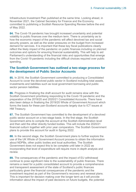Infrastructure Investment Plan published at the same time. Looking ahead, in November 2021, the Cabinet Secretary for Finance and the Economy committed to publishing a Scottish Resource Spending Review before the end of May 2022.

**84.** The Covid-19 pandemic has brought increased uncertainty and potential volatility to public finances over the medium term. There is uncertainty as to how the economic impact of the pandemic will affect devolved tax and social security powers, as well as the wider pressures on the budget from increased demand for services. It is important that these key fiscal publications clearly reflect the likely impact of the pandemic on public finances including on planned outcomes and options for ensuring financial sustainability. This will help to aid Parliament's understanding of the financial risks and opportunities that emerge from the Covid-19 pandemic including the difficult choices required over public spending.

### **The Scottish Government has outlined a two-stage process for the development of Public Sector Accounts**

<span id="page-25-0"></span>**85.** In 2016, the Scottish Government committed to producing a Consolidated Account to cover the devolved public sector in Scotland including total assets, investments and liabilities such as local government borrowing and public sector pension liabilities.

**86.** Progress in finalising the draft account for audit remains slow with the Scottish Government prioritising responding to the Covid-19 pandemic and the preparation of the 2019/20 and 2020/21 Consolidated Accounts. There have also been delays in finalising the 2019/20 Whole of Government Account which forms the basis for these pan-Scotland accounts largely due to ICT issues at HM Treasury.

**87.** The Scottish Government has committed to the development of a devolved public sector account on a two-stage basis. In the first stage, the Scottish Government aims to compile the account at the Scottish Administration level and then add the other directly funded bodies. This will include the 2020/21 financial outturn together with prior year comparators. The Scottish Government plans to provide this account for audit in Spring 2022.

**88.** In the second stage, the Scottish Government plans to further explore the use of the UK Whole of Government Account process to obtain the information about NDPBs, other public bodies and local authorities. The Scottish Government does not expect this to be complete until later in 2022 as incorporating that level of expenditure will require more in-depth analysis and review.

**89.** The consequences of the pandemic and the impact of EU withdrawal continue to pose significant risks to the sustainability of public finances. There remains a need for a public consolidated account to provide a comprehensive and transparent assessment of the state of Scotland's public finances particularly given the financial consequences of the pandemic and the investment required as part of the Government's recovery and renewal plans. This is important for decision making over the longer term as it will provide information about the impact of past decisions on future budgets, the potential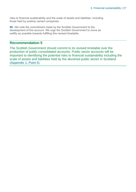risks to financial sustainability and the scale of assets and liabilities, including those held by publicly owned companies.

**90.** We note the commitment made by the Scottish Government to the development of this account. We urge the Scottish Government to move as swiftly as possible towards fulfilling this revised timetable.

# **Recommendation 5**

The Scottish Government should commit to its revised timetable over the production of public consolidated accounts. Public sector accounts will be important to identifying the potential risks to financial sustainability including the scale of assets and liabilities held by the devolved public sector in Scotland. [\(Appendix 1, Point 5\)](#page-33-0)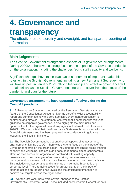# <span id="page-27-0"></span>**4. Governance and**

# **transparency**

The effectiveness of scrutiny and oversight, and transparent reporting of information

# **Main judgements**

The Scottish Government strengthened aspects of its governance arrangements. During 2020/21, there was a strong focus on the impact of the Covid-19 pandemic on the organisation, including the challenges facing staff capacity and wellbeing.

Significant changes have taken place across a number of important leadership roles within the Scottish Government, including a new Permanent Secretary, who will take up post in January 2022. Strong leadership and effective governance will remain critical as the Scottish Government seeks to recover from the effects of the pandemic and plan for the future.

# **Governance arrangements have operated effectively during the Covid-19 pandemic**

**91.** A Governance Statement prepared by the Permanent Secretary is a key feature of the Consolidated Accounts. It forms part of a wider accountability report and summarises how the core Scottish Government organisation is controlled and directed. The statement confirms that it complies with relevant guidance on corporate governance. It also highlights the main risks and opportunities for the organisation and any significant internal control issues in 2020/21. We are content that the Governance Statement is consistent with the financial statements and has been prepared in accordance with guidance issued by the Scottish Ministers.

**92.** The Scottish Government has strengthened aspects of its governance arrangements. During 2020/21, there was a strong focus on the impact of the Covid-19 pandemic on the organisation, including the challenges facing staffing capacity and wellbeing. The scale and pace of demands placed considerable strain on staff across the organisation combined with existing capacity pressures and the challenges of remote working. Improvements to risk management processes continue to evolve and embed across the organisation. This includes greater scrutiny and challenge of risks at both portfolio and corporate level. There remains scope for greater clarity on the impact of planned actions on reducing risk levels and the anticipated time taken to achieve risk targets across the organisation.

**93.** Over the last year, there were several changes to the Scottish Government's Corporate Board. These included new Directors General for both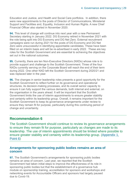Education and Justice, and Health and Social Care portfolios. In addition, there were new appointments to the posts of Director of Communications, Ministerial Support and Facilities and, Equality, Inclusion and Human Rights. A new Chief Financial Officer also started in November 2020.

**94.** This level of change will continue into next year with a new Permanent Secretary starting in January 2022. DG Economy retired in November 2021 with the role being split into DG Economy and DG Net Zero. External recruitment campaigns were run during 2021 for the posts of DG Economy and DG Net Zero were unsuccessful in identifying appointable candidates. These have been filled on an interim basis and will be re-advertised in early 2022. These are key roles for the Scottish Government and are essential to achieving the objectives set out in the national outcomes.

**95.** Currently, there are ten Non-Executive Directors (NXDs) whose role is to provide support and challenge to the Scottish Government. Three of the four NXDs currently serving on the Corporate Board will reach the end of their term during 2022. One other NXD left the Scottish Government during 2020/21 and was replaced later in the year.

<span id="page-28-0"></span>**96.** The changes in senior leadership roles presents a good opportunity for the Scottish Government to reflect further on its governance and operational structures, its decision-making processes, and its overall senior capacity to ensure it can fully support the various demands, both internal and external, on the organisation in the years ahead. It will be important that the Scottish Government limits the use of interim appointments to ensure greater stability and certainty within its leadership group. Overall, it remains important for the Scottish Government to keep its governance arrangements under review to ensure they remain fit for purpose, particularly during this continuing period of change and uncertainty.

# **Recommendation 6**

The Scottish Government should continue to review its governance arrangements to ensure they remain fit for purpose, particularly as changes are made to its leadership. The use of interim appointments should be limited where possible to ensure greater stability and certainty within its leadership group. [\(Appendix 1,](#page-33-0)  [Point 6\)](#page-33-0)

### **Arrangements for sponsoring public bodies remains an area of concern**

**97.** The Scottish Government's arrangements for sponsoring public bodies remains an area of concern. Last year, we reported that the Scottish Government had taken initial steps to improve the effectiveness of its role in sponsoring public bodies but that the establishment of a governance hub module on sponsorship training, accreditation for sponsors and workshops and networking events for Accountable Officers and sponsors had largely paused due to Covid-19.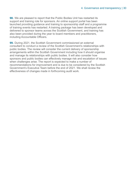**98.** We are pleased to report that the Public Bodies Unit has restarted its support and training role for sponsors. An online support portal has been launched providing guidance and training to sponsorship staff and a programme of training events has restarted. A training package has been developed and delivered to sponsor teams across the Scottish Government, and training has also been provided during the year to board members and practitioners, including Accountable Officers.

**99.** During 2021, the Scottish Government commissioned an external consultant to conduct a review of the Scottish Government's relationships with public bodies. The review will consider the current delivery of sponsorship arrangements within the Scottish Government including how it should organise and manage its relationships with public bodies. It will also consider how sponsors and public bodies can effectively manage risk and escalation of issues when challenges arise. The report is expected to make a number of recommendations for improvement and is due to be considered by the Scottish Government's Executive Team before the end of 2021. We shall review the effectiveness of changes made in forthcoming audit work.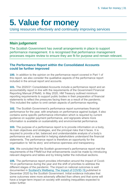# <span id="page-30-0"></span>**5. Value for money**

Using resources effectively and continually improving services

# **Main judgement**

The Scottish Government has overall arrangements in place to support performance management. It is recognised that performance management processes require review to ensure they are fit for purpose and remain relevant.

# **The Performance Report within the Consolidated Accounts could be further improved**

**100.** In addition to the opinion on the performance report covered in Part 1 of this report, we also consider the qualitative aspects of the performance report included in the annual report and accounts.

**101.** The 2020/21 Consolidated Accounts include a performance report and an accountability report in line with the requirements of the Government Financial Reporting Manual (FReM). In May 2020, HM Treasury outlined minimum reporting requirements to support public bodies in their preparation of financial statements to reflect the pressures facing them as a result of the pandemic. This included the option to omit certain aspects of performance reporting.

**102.** The Scottish Government's performance report summarises financial performance for the year, with emphasis on performance against budget. It also contains some specific performance information which is required by current guidance on supplier payment performance, and signposts where more information is available on sustainability and environmental performance.

**103.** The purpose of a performance report is to provide information on a body, its main objectives and strategies, and the principal risks that it faces. It is required to provide a fair, balanced and understandable analysis of a body's performance and, is essential in helping stakeholders understand the financial statements. The performance report is therefore an opportunity for the organisation to 'tell its story' and enhance openness and transparency.

**104.** We concluded that the Scottish government's performance report met the requirements of the FReM but that enhancements could be made by introducing relevant diagrams and tables and by linking better the individual sections.

**105.** The performance report provides information around the impact of Covid-19 on performance during the year and the shift of priorities to address the different stages of the pandemic. The impact on national outcomes is well documented in [Scotland's Wellbeing: The Impact of COVID-19](https://nationalperformance.gov.scot/scotlands-wellbeing-impact-covid-19) published in December 2020 by the Scottish Government. Initial evidence indicates that some outcomes were more adversely affected than others and that some will have a longer-term impact on society with existing inequalities expected to widen further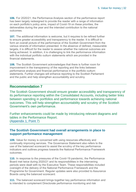**106.** For 2020/21, the Performance Analysis section of the performance report has been largely redesigned to provide the reader with a range of information on each portfolio's policy aims, impact of Covid-19 on these priorities, the deliverables during the year and the intended contribution to the national outcomes.

<span id="page-31-0"></span>**107.** The additional information is welcome, but it requires to be refined further to ensure greater accessibility and transparency to the reader. It is difficult to form an overall picture of the performance of the Scottish Government from the various strands of information presented. In the absence of defined, measurable targets, it is difficult for the reader to assess whether the national outcomes are being achieved. In addition, it is challenging to link the performance information with the individual portfolio outturn statements which are provided in the financial statements.

**108.** The Scottish Government acknowledges that there is further room for improvement in the transparency of the reporting and the links between performance analysis and financial performance in the portfolio outturn statements. Further changes will enhance reporting to the Scottish Parliament and the public and help strengthen accountability and scrutiny.

### **Recommendation 7**

The Scottish Government should ensure greater accessibility and transparency of its performance reporting within the Consolidated Accounts, including better links between spending in portfolios and performance towards achieving national outcomes. This will help strengthen accountability and scrutiny of the Scottish Government's own performance.

Further enhancements could be made by introducing relevant diagrams and tables in the Performance Report. [\(Appendix 1, Point 7\)](#page-33-0)

### **The Scottish Government had overall arrangements in place to support performance management**

**109.** Value for money is concerned with using resources effectively and continually improving services. The Governance Statement also refers to the use of the balanced scorecard to assist the scrutiny of the key performance indicators and outlines progress towards the National Performance Framework outcomes.

**110.** In response to the pressures of the Covid-19 pandemic, the Performance Board met twice during 2020/21 and its responsibilities in the intervening periods were dealt with by the Executive Team. These responsibilities included oversight of the delivery of the National Performance Framework and the Programme for Government. Regular updates were also provided to Assurance Boards using the balanced scorecard.

**111.** The balanced scorecard brings together key performance information and is intended to complement Directorate performance monitoring and risk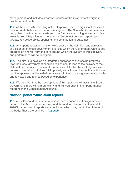management, and includes progress updates of the Government's highest profile commitments.

**112.** At the June 2021 meeting of the Corporate Board, a significant review of the Corporate balanced scorecard was agreed. The Scottish Government has recognised that the current systems of performance reporting across all policy areas lacked integration and there was a disconnect between reporting on targets, key deliverables, spending, and contribution to outcomes.

**113.** An important element of the new process is the definition and agreement of a clear set of cross-government priorities which the Government want to see progress on and will form the core around which the system to track delivery and performance will be designed.

**114.** The aim is to develop an integrated approach to overseeing progress towards cross- government priorities, which should lead to the delivery of the National Performance Framework's outcomes. Attention has initially focussed on two cross-cutting priorities: child poverty and climate change. It is anticipated that the approach will be rolled out across all other cross – government priorities and reviewed and refined based on experience.

**115.** We consider that the development of this approach will assist the Scottish Government in providing more clarity and transparency in their performance reporting in the Consolidated Accounts.

### **National performance audit reports**

**116.** Audit Scotland carries out a national performance audit programme on behalf of the Accounts Commission and the Auditor General for Scotland. In 2020/21 a number of reports were published which may be of direct interest to the body. These are outlined in [Appendix 4.](#page-50-0)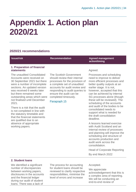# <span id="page-33-0"></span>**Appendix 1. Action plan 2020/21**

# **2020/21 recommendations**

### **1. Preparation of financial statements**

The unaudited Consolidated Accounts were received on 30 September 2021 but there were a number of incomplete sections. An updated version was received 6 weeks later but there remained some outstanding areas which were not finalised until December 2021.

There is a risk that the audit is not completed in line with the statutory timetable and that the financial statements are qualified due to an absence of appropriate working papers.

The Scottish Government should review their internal processes for the provision of a complete set of unaudited accounts for audit review and responding to audit queries to ensure the audit can be completed timeously.

### [Paragraph 15](#page-6-1)

### **Issue/risk Recommendation Agreed management action/timing**

### Agreed.

Processes and scheduling need to improve to deliver more efficient processes and better quality outputs at an earlier stage. It is not, however, accepted that this can be achieved by internal SG processes alone (though these will be reviewed). The scheduling of the accounts and audit of the bodies to be consolidated needs to support what is needed for the draft consolidation deadline.

A lessons learned exercise with Audit Scotland and an internal review of processes and planning will improve the scheduling and structure of accounts production and audit work across the consolidation.

Head of Corporate Reporting

By end March 2022

### **2. Student loans**

We identified a significant number of discrepancies between working papers, disclosures in the accounts and the financial ledger during our audit of student loans. There was a lack of

The process for accounting for student loans should be reviewed to clarify respective responsibilities, minimise the level of errors and increase

Accepted.

We appreciate acknowledgement that this is a complex area of reporting. We will be conducting an end-to-end review of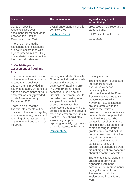| <b>Issue/risk</b>                                                                                                   | <b>Recommendation</b>                         | <b>Agreed management</b><br>action/timing       |
|---------------------------------------------------------------------------------------------------------------------|-----------------------------------------------|-------------------------------------------------|
| clarity on specific<br>responsibilities over                                                                        | overall understanding of this<br>complex area | processes on the reporting of<br>student loans. |
| accounting for student loans<br>between the Scottish<br>Government and SAAS.                                        | Exhibit 2, Point 4                            | <b>SAAS Director of Finance</b><br>31/03/2022   |
| There is a risk that the<br>accounting and disclosures<br>are not in accordance with<br>agreed procedures resulting |                                               |                                                 |

### **3. Covid-19 grants: assessment of fraud and error**

in a material misstatement in the financial statements.

There was no robust estimate of the level of fraud and error related to the business support grants provided in advance to audit. Evidence to support assessments of fraud and error was only provided in late November/early December 2021.

There is a risk that the financial statements will be qualified if there is no regular, robust monitoring, review and reporting of the assessment of the level of fraud and error incurred.

Looking ahead, the Scottish Government should regularly assess and improve its estimates of fraud and error in Covid-19 grant related schemes. In doing so, the Scottish Government should consider direct testing of a sample of payments to assure themselves that estimates are robust and that controls to detect and prevent fraud and error are working in practice. They should also ensure regular public reporting to satisfy high levels of public interest in this area.

### [Paragraph 24](#page-12-0)

Partially accepted.

The timing point is accepted: the comprehensive assurance work has necessarily been retrospective and the Fraud Review was reported to the Governance Board in November. SG colleagues are comfortable with the basis of the estimate provided in the accounts as a defensible view of potential fraud within grants. The suggestion of direct sample testing is not accepted: direct sample testing for fraud of grants administered by third party partners would involve a significant amount of resource and may not be statistically reliable. In addition, the assurance work did not highlight any concerns about the controls operated.

There is additional work and additional reporting as signposted within the accounts. The improvements highlighted in the Fraud Review report will be implemented in any future work.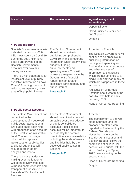| <b>Issue/risk</b> | <b>Recommendation</b> | <b>Agreed management</b><br>action/timing       |
|-------------------|-----------------------|-------------------------------------------------|
|                   |                       | <b>Deputy Director</b>                          |
|                   |                       | <b>Covid Business Resilience</b><br>and Support |
|                   |                       | Ongoing                                         |
|                   |                       |                                                 |

### **4. Public reporting**

Scottish Government analysis indicated that around £8.8 billion was spent on Covid-19 during the year. High-level details are provided in the Scottish Government's accounts over how this money was spent.

There is a risk that there is an insufficient level of publicly available information on how Covid-19 funding was spent, reducing transparency in an area of high public interest.

The Scottish Government should be proactive in publishing comprehensive Covid-19 financial reporting information which clearly links budgets, funding announcements and spending levels. This will increase transparency in the Government's financial reporting in an area of significant parliamentary and public interest.

### [Paragraph 41](#page-17-1)

Accepted in Principle.

The Scottish Government will continue to be proactive in publishing information on funding and spending via Budget documents, accounts and other sources of information and statistics which are not confined to a single financial year, many of which are signposted in these accounts.

A discussion with Audit Scotland about what may be possible was held in early February 2022.

Head of Corporate Reporting

### **5. Public sector accounts**

The Scottish Government has committed to the development of a devolved public sector account on a two-stage basis beginning with production of an account at the Scottish Administration level. The second stage which will incorporate NDPBs, other public bodies and local authorities will require more in-depth analysis and review.

There is a risk that decision making over the longer term will be negatively impacted without a comprehensive and transparent assessment of the state of Scotland's public finances.

The Scottish Government should commit to its revised timetable over the production of public consolidated accounts. Public sector accounts will be important to help identify the potential risks to financial sustainability including the scale of assets and liabilities held by the devolved public sector in **Scotland** 

Paragraph [85.](#page-25-0) 

### Accepted.

The commitment to the two stage approach and the proposed timetable were reported to Parliament by the Cabinet Secretary in November. Work on the Scottish Administration and Scottish Budget follows the completion of all 2020-21 accounts and audits, with the aim of finalising in Spring 2022 before moving on the second stage.

Head of Corporate Reporting Ongoing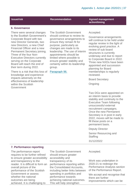### **Issue/risk Recommendation Agreed management action/timing**

#### **6. Governance**

There were several changes to the Scottish Government's Corporate Board with two new Director Generals, two new Directors, a new Chief Financial Officer and a new Permanent Secretary joining. Three of the four Non-Executive Directors currently serving on the Corporate Board will reach the end of their term during 2022.

There is a risk that this loss of knowledge and experience impacts adversely on the effectiveness of leadership within the Scottish Government

The Scottish Government should continue to review its governance arrangements to ensure they remain fit for purpose, particularly as changes are made to its leadership. The use of interim appointments should be limited where possible to ensure greater stability and certainty within its leadership group.

Paragraph [96.](#page-28-0) 

#### Accepted.

Governance arrangements will continue to be held under regular review in the light of evolving good practice. A review of sub board structures is currently underway and due to report to Corporate Board in 2022. Three new NXDs have been appointed and succession planning for Board memberships is regularly reviewed.

Board Secretary

**Ongoing** 

Two DGs were appointed on an interim basis to provide stability and continuity to the Executive Team following unsuccessful external recruitment campaigns. Once the new Permanent Secretary is in post in early 2022, moves will be made to fill these posts on a permanent basis.

Deputy Director

Senior Resourcing and **Staffing** 

31/12/2022

#### **7. Performance reporting**

The performance report requires to be further refined to ensure greater accessibility and transparency to the reader. It is difficult to form an overall picture of the performance of the Scottish Government or assess whether the national outcomes are being achieved. It is challenging to

The Scottish Government should ensure greater accessibility and transparency of its performance reporting within the Consolidated Accounts, including better links between spending in portfolios and performance towards achieving national outcomes. This will help strengthen

Accepted.

Work was undertaken in 2020-21 to redesign the Performance Analysis section of the Performance Report.

We accept and recognise that there are further improvements which can be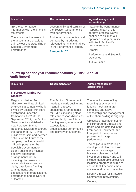| <b>Issue/risk</b>                                                                                                          | <b>Recommendation</b>                                                                                              | <b>Agreed management</b><br>action/timing                                                                                                                                               |
|----------------------------------------------------------------------------------------------------------------------------|--------------------------------------------------------------------------------------------------------------------|-----------------------------------------------------------------------------------------------------------------------------------------------------------------------------------------|
| link the performance<br>information with the financial<br>statements.                                                      | accountability and scrutiny of<br>the Scottish Government's<br>own performance.                                    | made to the Performance<br>Report. As part of this<br>iterative process, we will<br>continue to build on our<br>approach next year, in line<br>with Audit Scotland's<br>recommendation. |
| There is a risk that users of<br>the accounts are unable to<br>gain a clear understanding of<br><b>Scottish Government</b> | Further enhancements could<br>be made by introducing<br>relevant diagrams and tables<br>in the Performance Report. |                                                                                                                                                                                         |
| performance.                                                                                                               | Paragraph 107.                                                                                                     | Director                                                                                                                                                                                |
|                                                                                                                            |                                                                                                                    | Performance and Strategic<br>Outcomes                                                                                                                                                   |
|                                                                                                                            |                                                                                                                    | Autumn 2022                                                                                                                                                                             |

### **Follow-up of prior year recommendations (2019/20 Annual Audit Report)**

the transfer of FMPG into public ownership and oversee options for the future of the company. Looking ahead it will be important for the Scottish Government to clearly outline and maintain

effective sponsoring arrangements for FMPG, including clear roles and responsibilities as well as clarity over future funding

arrangements and

outcomes.

expectations of organisational performance and delivery of

| <b>Issue/risk</b>                  | <b>Recommendation</b>         | <b>Agreed management</b><br>action/timing |
|------------------------------------|-------------------------------|-------------------------------------------|
| 8. Ferguson Marine Port<br>Glasgow |                               |                                           |
| Ferguson Marine (Port              | The Scottish Government       | The establishment of key                  |
| Glasgow) Holdings Limited          | needs to clearly outline and  | reporting structures and                  |
| (FMPG) is a company wholly         | maintain effective            | funding mechanism are                     |
| owned by Scottish Ministers        | sponsoring arrangements       | complete, and active                      |
| established under the              | for FMPG, including clear     | sponsorship and management                |
| Companies Act 2006. In             | roles and responsibilities as | of the shareholding is ongoing.           |
| September 2019, the Scottish       | well as clarity over future   | Objectives have been set for              |
| Government established a           | funding arrangements and      | the Turnaround Director and               |
| new Ferguson Marine                | expectations of               | Poard and are detailed in the             |

Response Division to oversee organisational performance and delivery of outcomes. Board and are detailed in the Framework Document, and form part of the appraisal process and gauge performance.

> The shipyard is preparing a development plan which will evolve into a strategic business plan and capital investment strategy and will include measurable objectives, including progress required to ensure that it becomes more efficient and more competitive.

Deputy Director for Strategic Commercial Interventions.

Ongoing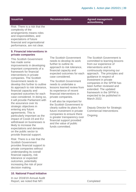**Issue/risk Recommendation Agreed management action/timing**

Risk: There is a risk that the complexity of the arrangements means roles and responsibilities, and expectations of future financial and organisational performance, are not clear.

### **9. Financial interventions in private companies**

This Scottish Government has made some improvements in developing important components of a framework for financial interventions in private companies. The Scottish Government needs to develop this further to outline its approach to risk tolerance, financial capacity and expected outcomes for each case considered. In doing so, it will provide Parliament with the assurance over its strategic objectives in entering any future agreements. This is particularly important as the impact of Covid-19 and EU withdrawal on businesses is likely to increase the expectations and demands on the public sector to provide financial support.

Risk: There is a risk that the Scottish Government provides financial support to private companies without understanding its overall financial capacity, risk tolerance or expected outcomes, potentially increasing the risk of poor decision making.

### **10. National Fraud Initiative**

In our 2018/19 Annual Audit Report, we noted that NFI Completed Completed

The Scottish Government needs to develop its work further to outline its approach to risk tolerance, financial capacity and expected outcomes for each case considered.

The Scottish Government needs to undertake a lessons learned review from its experience of recent financial interventions in private companies.

It will also be important for the Scottish Government to clearly outline its plans for future investment in private companies to ensure there is greater transparency over financial support provided and the value of public funds committed.

The Scottish Government is committed to learning lessons from our experience of interventions and to continuously improving our approach. The principles and guidance in respect of investment in private companies in the SPFM has been further reviewed and extended. The updated framework in the SPFM is expected to be published in March 2022.

Deputy Director for Strategic Commercial Interventions

**Ongoing**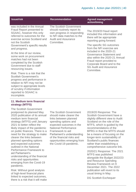| <b>Issue/risk</b>                                                                                                                                                                                                                 | <b>Recommendation</b>                                                                                                                                                 | <b>Agreed management</b><br>action/timing                                                                                                                                                                                   |
|-----------------------------------------------------------------------------------------------------------------------------------------------------------------------------------------------------------------------------------|-----------------------------------------------------------------------------------------------------------------------------------------------------------------------|-----------------------------------------------------------------------------------------------------------------------------------------------------------------------------------------------------------------------------|
| was included in the Annual<br>Fraud Report presented to<br>SGAAC, however this only<br>referred to outcomes for the<br>exercise across Scotland and<br>not the Scottish<br>Government's specific results                          | <b>The Scottish Government</b><br>should routinely report its<br>own progress in responding<br>to NFI data matches to the<br><b>Audit and Assurance</b><br>Committee. | The 2019/20 fraud report<br>included this information and<br>there will be appropriate<br>reporting going forward.<br>The specific SG outcomes                                                                              |
| and progress.<br>At the time of our review,<br>some work on procurement<br>matches had not been<br>completed by the Scottish<br>Government due to staff<br>resourcing issues.                                                     |                                                                                                                                                                       | from the NFI exercise are<br>included in the 2020-21<br>Governance Statement and<br>also within the 2020-21 Annual<br>Fraud report provided to<br>Corporate Board and to the<br><b>SG Audit and Assurance</b><br>Committee. |
| Risk: There is a risk that the<br><b>Scottish Government's</b><br>progress and performance in<br>relation to NFI may not be<br>subject to appropriate levels<br>of scrutiny if information<br>reported to SGAAC is<br>incomplete. |                                                                                                                                                                       |                                                                                                                                                                                                                             |

### **11. Medium term financial strategy (MTFS)**

The Scottish Government postponed its planned May 2020 publication of its annual medium term financial strategy (MTFS) until January 2021 to better reflect the likely impact of the pandemic on public finances. There is a need for the strategy to make clearer the links between planned spending options and expected outcomes outlined in the National Performance Framework to aid Parliament's understanding of the financial risks and opportunities emerging from the Covid-19 pandemic.

Risk: Without good analysis of high-level financial plans linked to expected outcomes, there is a risk that it will make

The Scottish Government should make clearer the links between planned spending options and expected outcomes in the National Performance Framework to aid Parliament's understanding of the financial risks and opportunities emerging from the Covid-19 pandemic.

2019/20 Response: The Scottish Government have a slightly different view to Audit Scotland on the role of the MTFS, which is guided by the recommendations of the BPRG in that the MTFS should be a means of focusing on the longer-term sustainability of Scotland's public finances rather than establishing a comprehensive outcome link.

2020/21 Response: The 2021 MTFS was published alongside the Budget 2022/23 and Resource Spending Review Framework on 9 December 2021. The 2022 publication will revert to its usual timing in May.

DG Scottish Exchequer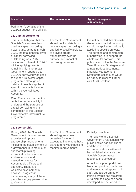**Issue/risk Recommendation Agreed management action/timing**

Parliament's scrutiny of the 2021/22 budget more difficult.

### **12. Capital borrowing**

This is the fifth year that the Scottish Government has used its capital borrowing powers and, as at 31 March 2020, the total principal level of capital borrowing outstanding was £1,071.6 million, with interest of £144.6 million applying over its remaining life. The Scottish Government reported that 2019/20 borrowing was used to support its overall capital programme although no details of how this applied to specific projects is included within the Consolidated Accounts.

Risk: There is a risk that this limits the reader's ability to understand the purpose of capital borrowing and its contribution to the Scottish Government's infrastructure programme.

The Scottish Government should publish details of how its capital borrowing is applied to specific projects to provide greater transparency over the purpose and impact of borrowing decisions.

It is not accepted that Scottish Government capital borrowing should be applied or notionally applied to specific projects. The purpose and contribution of borrowing is to support the whole capital portfolio. This policy is set out in the Medium-Term Financial Strategies and annual Budget documents. Financial Management Directorate colleagues would be happy to discuss further with Audit Scotland.

### **13. Sponsorship**

During 2020, the Scottish Government planned several activities to improve sponsorship arrangements, including the establishment of a governance hub module on sponsorship training, accreditation for sponsors and workshops and networking events for Accountable Officers and sponsors. These are welcome developments; however, progress in implementing many of these plans has largely paused due to Covid-19.

The Scottish Government should agree a new timetable for when it expects to implement these plans and how it expects to monitor improvements.

#### Partially completed

The review of the Scottish Government's relationship with public bodies has concluded and the report and recommendations within will be published alongside the Scottish Governments response in due course.

An online support portal has launched providing guidance and training to all sponsorship staff, and a programme of training events has restarted. A training package has been developed and delivered to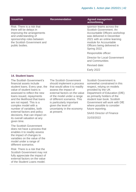| <b>Issue/risk</b>                                                                                                                                                                         | <b>Recommendation</b> | <b>Agreed management</b><br>action/timing                                                                                                                                                                                  |
|-------------------------------------------------------------------------------------------------------------------------------------------------------------------------------------------|-----------------------|----------------------------------------------------------------------------------------------------------------------------------------------------------------------------------------------------------------------------|
| Risk: There is a risk that<br>there will be delays in<br>improving the arrangements<br>and understanding of<br>sponsorship roles between<br>the Scottish Government and<br>public bodies. |                       | sponsor teams across the<br>Scottish Government, An<br>Accountable Officers workshop<br>was delivered in December<br>2021 with an online learning<br>module for Accountable<br>Officers being delivered in<br>Spring 2022. |
|                                                                                                                                                                                           |                       | Responsible officer:                                                                                                                                                                                                       |
|                                                                                                                                                                                           |                       | Director for Local Government<br>and Communities                                                                                                                                                                           |
|                                                                                                                                                                                           |                       | Revised date:                                                                                                                                                                                                              |
|                                                                                                                                                                                           |                       | <b>Early 2022</b>                                                                                                                                                                                                          |

### **14. Student loans**

The Scottish Government's financial assets include student loans. Every year, the value of student loans is assessed to reflect the new loans issued, repayments and the likelihood that loans are not repaid. This is a complex model with a number of variables, both external factors and policy decisions, that can impact on its overall valuation at any given time.

The Scottish Government does not have a process that enables it to readily assess the impact of changes to variables on the value of the model under a range of different scenarios.

Risk: There is a risk that the Scottish Government may not fully appreciate the impact of external factors on the value of the Student Loans model.

The Scottish Government should implement a process that would allow it to readily assess the impact of external factors on the value of the model under a range of different scenarios. This is particularly important given the level of uncertainty in the economy at present.

Scottish Government is somewhat constrained in this respect, relying on models provided by the UK Department of Education (DfE) as primarily holders of the student loan book. Scottish Government will work with DfE where possible to consider future reporting.

SAAS Director of Finance 31/03/2022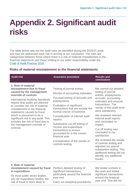# <span id="page-42-0"></span>**Appendix 2. Significant audit risks**

The table below sets out the audit risks we identified during the 2020/21 audit and how we addressed each risk in arriving at our conclusion. The risks are categorised between those where there is a risk of material misstatement in the financial statements and those relating to our wider responsibility under the [Code of Audit Practice 2016.](http://www.audit-scotland.gov.uk/report/code-of-audit-practice-2016)

# **Risks of material misstatement in the financial statements**

| <b>Audit risk</b>                                                                                                                                                                                                                                                                                                                                                                                                                          | <b>Assurance procedure</b>                                                                                                                                                                                                                                                                                                                                                                                                                                        | <b>Results and</b><br>conclusions                                                                                                                                                                                                                                                                                                                                                                                                                                                                                 |
|--------------------------------------------------------------------------------------------------------------------------------------------------------------------------------------------------------------------------------------------------------------------------------------------------------------------------------------------------------------------------------------------------------------------------------------------|-------------------------------------------------------------------------------------------------------------------------------------------------------------------------------------------------------------------------------------------------------------------------------------------------------------------------------------------------------------------------------------------------------------------------------------------------------------------|-------------------------------------------------------------------------------------------------------------------------------------------------------------------------------------------------------------------------------------------------------------------------------------------------------------------------------------------------------------------------------------------------------------------------------------------------------------------------------------------------------------------|
| 1. Risk of material<br>misstatement due to fraud<br>caused by the management<br>override of controls<br><b>International Auditing Standards</b><br>require that audits are planned<br>to consider the risk of material<br>misstatement in the financial<br>statements caused by fraud,<br>which is presumed to be a<br>significant risk in any audit. This<br>includes the risk of fraud due to<br>the management override of<br>controls. | Testing of journal entries.<br>Review of accounting estimates.<br>Focused testing of accruals and<br>prepayments.<br>Evaluation of significant<br>transactions that are outside the<br>normal course of business.<br>Consideration of internal audit<br>reports.<br>Substantive cut-off testing of<br>income and expenditure<br>transactions to ensure<br>accounted for in the correct<br>financial year.<br>Consideration of the results of<br>controls testing. | We carried out detailed<br>testing of journal<br>entries, prepayments,<br>accruals, accounting<br>estimates and unusual<br>transactions. The<br>results of this audit work<br>were satisfactory.<br>We reviewed relevant<br>internal audit reports<br>and concluded no<br>impact.<br>Cut off testing was<br>concluded to our<br>satisfaction.<br>We reviewed the results<br>of controls testing and<br>adjusted our payroll<br>substantive testing. This<br>additional testing did not<br>identify any additional |
| 2. Risk of material                                                                                                                                                                                                                                                                                                                                                                                                                        | The lattice $\mathcal{L}_1$ and $\mathcal{L}_2$ and $\mathcal{L}_3$ are defined by the lattice of $\mathcal{L}_1$                                                                                                                                                                                                                                                                                                                                                 | issues.<br>$\mathbf{M}$ and $\mathbf{M}$ are a set of $\mathbf{M}$ . The set of $\mathbf{M}$ and $\mathbf{M}$ are a set of $\mathbf{M}$                                                                                                                                                                                                                                                                                                                                                                           |

# **misstatement caused by fraud in expenditure**

As most public sector bodies are net expenditure bodies, the risk of fraud is more likely to

Perform detailed testing of significant transactions. particularly around the financial year end.

Carry out analytical procedures.

We tested controls in this area and tested significant transactions around the financial year end. This did not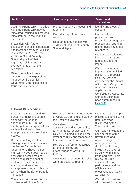| <b>Audit risk</b>                                                                                                                                                                                                                                                                                                      | <b>Assurance procedure</b>                                                        | <b>Results and</b><br>conclusions                                                                                                                                                                                                                                      |
|------------------------------------------------------------------------------------------------------------------------------------------------------------------------------------------------------------------------------------------------------------------------------------------------------------------------|-----------------------------------------------------------------------------------|------------------------------------------------------------------------------------------------------------------------------------------------------------------------------------------------------------------------------------------------------------------------|
| occur in expenditure. There is a<br>risk that expenditure may be<br>misstated resulting in a material<br>misstatement in the financial<br>statements.                                                                                                                                                                  | Monitor budgetary process and<br>reporting.                                       | identify any areas of<br>concern.                                                                                                                                                                                                                                      |
|                                                                                                                                                                                                                                                                                                                        | Consider any internal audit<br>reports.                                           | Our analytical<br>procedures and                                                                                                                                                                                                                                       |
| In addition, with further<br>devolution, benefits expenditure<br>has increased by over £3 billion                                                                                                                                                                                                                      | Regular communication with<br>auditors of the Social Security<br>Scotland Agency. | monitoring of budgetary<br>process and reporting<br>did not raise any areas<br>of concern.                                                                                                                                                                             |
| in 2020/21. In 2019/20, the<br>auditor of Social Security<br>Scotland qualified their<br>regularity opinion because of<br>overpayments of Carer's<br>Allowance.<br>Given the high volume and<br>diverse nature of expenditure<br>incurred by the Scottish<br>Government, there is a risk of<br>fraud over expenditure. |                                                                                   | We reviewed relevant<br>internal audit reports<br>and concluded no<br>impact.                                                                                                                                                                                          |
|                                                                                                                                                                                                                                                                                                                        |                                                                                   | We considered the                                                                                                                                                                                                                                                      |
|                                                                                                                                                                                                                                                                                                                        |                                                                                   | impact of the qualified<br>opinion of the Social<br><b>Security Scotland</b><br>Agency and the impact<br>of the auditor's opinion<br>on expenditure as it<br>applies to the<br><b>Consolidated Accounts.</b><br>Our conclusion has<br>been summarised in<br>Exhibit 2. |

### **3. Covid-19 expenditure**

In response to the Covid-19 pandemic, there has been a significant increase in expenditure of £8.8 billion, involving delivery organisations such as local authorities, enterprise agencies and health bodies.

Decision-making in a fastmoving environment presents challenges for the Scottish Government. These include maintaining good governance and controls while making decisions quickly, adapting performance measures and ensuring that anti-fraud arrangements remain robust at a time when the risk of fraud is increased.

There is a risk that assurance processes within the Scottish

Review of the extent and nature of Covid-19 grants distributed by the Scottish Government.

Consideration of the governance and accountability arrangements for distributing Covid-19 funding, including the level of scrutiny and steps taken to minimise fraud and error.

Review of performance targets for the efficiency and effectiveness of Covid-19 funding.

Consideration of internal audit's work on Covid-19 grants.

We reviewed a sample of large and small covid grant schemes distributed by the Scottish Government.

Our review included the consideration of the governance and accountability arrangements for distributing funding, including the level of scrutiny to minimise fraud and error. This review included consideration of performance and the efficiency and effectiveness of Covid-19 funding.

We held discussions with Internal Audit on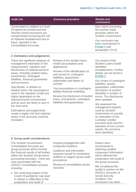| <b>Audit risk</b>                                                                                                                                                                                                                    | <b>Assurance procedure</b> | <b>Results and</b><br>conclusions                                                                  |
|--------------------------------------------------------------------------------------------------------------------------------------------------------------------------------------------------------------------------------------|----------------------------|----------------------------------------------------------------------------------------------------|
| Government in relation to Covid-<br>19 spend are limited and that<br>internal control processes are<br>compromised increasing the risk<br>of material misstatement due to<br>fraud, reported in the<br><b>Consolidated Accounts.</b> |                            | their report assessing<br>the counter fraud<br>provision within the<br><b>Scottish Government.</b> |
|                                                                                                                                                                                                                                      |                            | Our conclusion has<br>been summarised in<br><b>Exhibit 2 and</b><br>paragraphs 24-32.              |
| 4. Estimation and judgements                                                                                                                                                                                                         |                            |                                                                                                    |

There are significant degrees of management estimation in the measurement, valuation and disclosures of material account areas, including student loans, investments, contingent liabilities, financial guarantees and provisions.

Specifically, in relation to student loans, the assumptions used in the valuation model are highly dependent on the macroeconomic environment and as such are likely to vary in the short term.

Estimations and judgements create a higher risk that material areas in the accounts could be misstated.

Review of the student loans model (assumptions and application).

Review of the identification of, and record of, contingent liabilities, guarantees, indemnities and letters of comfort.

Test assumptions in contingent liability financial modelling.

Review the disclosure of student loans, investments, contingent liabilities and guarantees.

Our review of the Student Loans model identified misstatements. Further details can be found in [Exhibit 2.](#page-8-0)

Our review of contingent liabilities, assets, guarantees, indemnities and letters of comfort identified a number of errors. The disclosures were updated.

We assessed the management experts used by Scottish Government to provide an estimation of the Lochaber smelter provision level and the valuation of non-current assets. No concerns were identified.

### **5. Group audit considerations**

The Scottish Government Consolidated Accounts are group accounts which include the financial results of all bodies within the Scottish Government accounting boundary. There are risks associated with the 2020/21 consolidation process including:

• the continuing impact of the Covid-19 pandemic may lead to delays or difficulties in the preparation and audit of

Ongoing engagement with component auditors.

Guidance and information requests issued to component auditors to support group audit procedures.

Review of consolidation packs received.

Delays were encountered in obtaining audited component information which affected the preparation and audit of the group accounts.

We considered the auditor's opinion on the 2020/21 accounts of Social Security Scotland. Our conclusion has been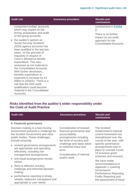| <b>Audit risk</b>                                                                                                                                                                                                                                                                                                                                                                                                                                                                                                                    | <b>Assurance procedure</b> | <b>Results and</b><br>conclusions                                         |
|--------------------------------------------------------------------------------------------------------------------------------------------------------------------------------------------------------------------------------------------------------------------------------------------------------------------------------------------------------------------------------------------------------------------------------------------------------------------------------------------------------------------------------------|----------------------------|---------------------------------------------------------------------------|
| component bodies' accounts<br>which may impact on the<br>timing, preparation and audit<br>of the group accounts.                                                                                                                                                                                                                                                                                                                                                                                                                     |                            | summarised in Exhibit<br>2.<br>There is no further<br>impact on our audit |
| • the auditor's opinion on<br><b>Social Security Scotland</b><br>(SSS) agency accounts has<br>been qualified in the last two<br>years, on the grounds of<br>regularity in respect of<br>Carer's Allowance benefit<br>expenditure. This was<br>assessed as not material to<br>the Consolidated Accounts.<br>With further devolution,<br>benefits expenditure is<br>expected to increase by £3<br>billion in 2020/21. There is a<br>risk that the SSS audit<br>qualification could become<br>material to the Consolidated<br>Accounts. |                            | approach for the<br><b>Consolidated Accounts.</b>                         |

# **Risks identified from the auditor's wider responsibility under the Code of Audit Practice**

appropriate to user needs.

| <b>Audit risk</b>                                                                                                                                                     | <b>Assurance procedure</b>                                                                                                                                                                                                                  | <b>Results and</b><br>conclusions                                                                                                                                                                                                          |
|-----------------------------------------------------------------------------------------------------------------------------------------------------------------------|---------------------------------------------------------------------------------------------------------------------------------------------------------------------------------------------------------------------------------------------|--------------------------------------------------------------------------------------------------------------------------------------------------------------------------------------------------------------------------------------------|
| 6. Financial governance                                                                                                                                               |                                                                                                                                                                                                                                             |                                                                                                                                                                                                                                            |
| Decision-making in a fast-moving<br>environment presents a challenge for<br>the Scottish Government and other<br>public bodies. These challenges<br>include ensuring: | Consideration of revised<br>financial governance and<br>accountability<br>arrangements including<br>the level of scrutiny and<br>challenge and steps taken<br>to minimise fraud and<br>error.<br>Consideration of internal<br>audit's work. | The Scottish<br>Government's internal<br>control framework has<br>strengthened over the<br>course of the year, with<br>specific governance<br>arrangements now in<br>place to oversee Covid-<br>19 business grant<br>schemes and recovery. |
| • revised governance arrangements<br>are appropriate and operating<br>effectively, including risk-<br>management arrangements                                         |                                                                                                                                                                                                                                             |                                                                                                                                                                                                                                            |
| • anti-fraud arrangements remain<br>robust                                                                                                                            |                                                                                                                                                                                                                                             | We have made                                                                                                                                                                                                                               |
| • there is effective scrutiny,<br>challenge and informed decision<br>making                                                                                           |                                                                                                                                                                                                                                             | recommendations in<br>Appendix 1 covering<br>Governance,<br>Performance Reporting,                                                                                                                                                         |
| performance reporting is timely,<br>$\bullet$<br>reliable, balanced, transparent and                                                                                  |                                                                                                                                                                                                                                             | <b>Public Reporting and</b><br>the assessment of fraud                                                                                                                                                                                     |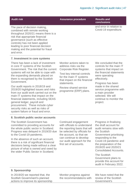| <b>Audit risk</b>                                                                                                                                                                                                                                                                                                                                                                                                                                                                                                                                                                                      | <b>Assurance procedure</b>                                                                                                                                                                                                               | <b>Results and</b><br>conclusions                                                                                                                                                                                                                                                             |
|--------------------------------------------------------------------------------------------------------------------------------------------------------------------------------------------------------------------------------------------------------------------------------------------------------------------------------------------------------------------------------------------------------------------------------------------------------------------------------------------------------------------------------------------------------------------------------------------------------|------------------------------------------------------------------------------------------------------------------------------------------------------------------------------------------------------------------------------------------|-----------------------------------------------------------------------------------------------------------------------------------------------------------------------------------------------------------------------------------------------------------------------------------------------|
| The pace of decision making,<br>combined with remote working<br>throughout 2020/21 means there is a<br>risk that appropriate financial<br>governance (such as effective<br>controls) has not been applied<br>leading to poor financial decision<br>making and the potential for fraud<br>and error.                                                                                                                                                                                                                                                                                                    |                                                                                                                                                                                                                                          | and error in relation to<br>Covid-19 expenditure.                                                                                                                                                                                                                                             |
| 7. Investment in core systems                                                                                                                                                                                                                                                                                                                                                                                                                                                                                                                                                                          |                                                                                                                                                                                                                                          |                                                                                                                                                                                                                                                                                               |
| There has been a lack of investment<br>in core IT systems of the Scottish<br>Government. The risk that the current<br>systems will not be able to cope with<br>the expanding demands placed on<br>them is recognised by the Scottish<br>Government.<br>Our audit reports in 2018/19 and<br>2019/20 highlighted issues and risks<br>from our audit work carried out on the<br>main IT systems that impact on the<br>financial statements, including SEAS<br>general ledger, payroll and<br>procurement. These include cyber<br>security risks as well as risks of<br>system failure or fraud and error. | Monitor actions taken to<br>address risks via the<br>Corporate Risk Register.<br>Test key internal controls<br>for the main IT systems<br>that impact on the financial<br>statements.<br>Review shared service<br>programme (ERP) plans. | We concluded that the<br>controls for the main IT<br>systems that impact on<br>the financial statements<br>were operating<br>effectively.<br>Progress has been<br>made in the shared<br>service programme with<br>a main provider<br>selected. We will<br>continue to monitor the<br>project. |
| 8. Scottish public sector accounts                                                                                                                                                                                                                                                                                                                                                                                                                                                                                                                                                                     |                                                                                                                                                                                                                                          |                                                                                                                                                                                                                                                                                               |

### **8. Scottish public sector accounts**

The Scottish Government has committed to providing accounts for the whole public sector in Scotland. Progress was delayed in 2019/20 due to the Covid-19 pandemic.

In the absence of such an account, there is a risk of significant financial decisions being made without a clear picture of what is owned and owed by the wider Public Sector in Scotland.

Continued engagement with officials to understand the reporting basis that will be selected by officials for the account, so that we can continue to develop our audit approach for the first set of accounts.

Progress in finalising the draft account for audit remains slow with the Scottish Government prioritising responding to the Covid-19 pandemic and the preparation of the 2019/20 and 2020/21 Consolidated Accounts.

The Scottish Government plans to provide this account for audit in February 2022.

### **9. Sponsorship**

In 2019/20 we reported that, the Scottish Government's planned actions to improve its sponsorship

Monitor progress against the recommendations with We have noted that the review of the Scottish Government's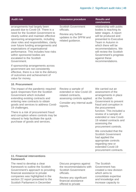| <b>Audit risk</b>                                                                                                                                                                                                                                                                                                                                                                                                                    | <b>Assurance procedure</b>                                                                                     | <b>Results and</b><br>conclusions                                                                                                                                                                                                                                                            |
|--------------------------------------------------------------------------------------------------------------------------------------------------------------------------------------------------------------------------------------------------------------------------------------------------------------------------------------------------------------------------------------------------------------------------------------|----------------------------------------------------------------------------------------------------------------|----------------------------------------------------------------------------------------------------------------------------------------------------------------------------------------------------------------------------------------------------------------------------------------------|
| arrangements had largely been<br>paused due to Covid-19. There is a<br>need for the Scottish Government to<br>clearly outline and maintain effective<br>sponsoring arrangements, including<br>clear roles and responsibilities, clarity<br>over future funding arrangements and<br>expectations of organisational<br>performance. This includes how risks<br>within sponsored bodies are<br>escalated to the Scottish<br>Government. | <b>Scottish Government</b><br>officials.<br>Review any further<br>updates to the SPFM and<br>related guidance. | relationship with public<br>bodies is reaching its<br>latter stages. A report<br>will be produced and<br>presented to Executive<br>Team in Autumn in<br>which there will be<br>recommendations. We<br>will review the Scottish<br>Government's progress<br>against these<br>recommendations. |
| If sponsorship arrangements across<br>government are not consistently<br>effective, there is a risk to the delivery<br>of outcomes and achievement of<br>value for money.                                                                                                                                                                                                                                                            |                                                                                                                |                                                                                                                                                                                                                                                                                              |

### **10. Procurement**

The impact of the pandemic required quick responses from the Scottish Government which included extending existing contracts and entering new contracts to obtain goods and services to address Covid-19 challenges.

There is a risk of procurement fraud and corruption where controls may be relaxed to help facilitate the quick purchase of goods and services.

Review a sample of extended or new Covid-19 related contracts, assessing controls applied.

Consider any internal audit reports.

We carried out an assessment of the arrangements in place at the Scottish Government to prevent fraud and corruption in the procurement function. This included a review of a sample of extended or new Covid-19 related contracts and assessing the procurement controls.

We concluded that the Scottish Government had applied the appropriate controls regarding new or extended Covid-19 procurement contracts.

### **11. Financial interventions framework**

The need to develop a clear framework to outline the Scottish Government's approach to providing financial assistance to private companies was highlighted in the section 22 report presented to the Scottish Parliament in December

Discuss progress against the recommendations with Scottish Government officials.

Review any significant financial assistance offered to private

The Scottish Government has created a new division which aims to consolidate expertise and knowledge and increase capacity to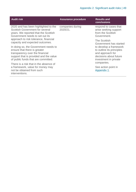| <b>Audit risk</b>                                                                                                                                                                        | <b>Assurance procedure</b>   | <b>Results and</b><br>conclusions                                                                                          |  |
|------------------------------------------------------------------------------------------------------------------------------------------------------------------------------------------|------------------------------|----------------------------------------------------------------------------------------------------------------------------|--|
| 2020 and has been highlighted to the<br><b>Scottish Government for several</b><br>years. We reported that the Scottish<br>Government needs to set out its                                | companies during<br>2020/21. | respond to cases that<br>arise seeking support<br>from the Scottish<br>Government.                                         |  |
| approach to risk tolerance, financial<br>capacity and expected outcomes.                                                                                                                 |                              | The Scottish<br>Government has started                                                                                     |  |
| In doing so, the Government needs to<br>ensure that there is greater<br>transparency over the financial<br>support that is provided and the value<br>of public funds that are committed. |                              | to develop a framework<br>to outline its principles<br>and approach for<br>decisions about future<br>investment in private |  |
| There is a risk that in the absence of<br>a framework, value for money may<br>not be obtained from such<br>interventions.                                                                |                              | companies.                                                                                                                 |  |
|                                                                                                                                                                                          |                              | See action point in<br>Appendix 1.                                                                                         |  |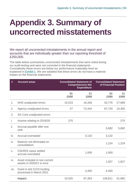# <span id="page-49-0"></span>**Appendix 3. Summary of uncorrected misstatements**

We report all uncorrected misstatements in the annual report and accounts that are individually greater than our reporting threshold of £250,000.

The table below summarises uncorrected misstatements that were noted during our audit testing and were not corrected in the financial statements. Cumulatively these errors are below our performance materiality level as explained in [Exhibit](#page-7-0) 1. We are satisfied that these errors do not have a material impact on the financial statements.

| #    | <b>Account areas</b>                                        | <b>Consolidated Statement of</b><br><b>Comprehensive Net</b><br><b>Expenditure</b> |            | <b>Consolidated Statement</b><br>of Financial Position |                       |
|------|-------------------------------------------------------------|------------------------------------------------------------------------------------|------------|--------------------------------------------------------|-----------------------|
|      |                                                             | Dr<br>£000                                                                         | cr<br>£000 | Dr<br>£000                                             | $\mathsf{Cr}$<br>£000 |
| 1.   | NHS unadjusted errors                                       | 10,223                                                                             | 16,330     | 33,776                                                 | 27,669                |
| 2.   | Agency unadjusted errors                                    | 27                                                                                 | 72,442     | 87,720                                                 | 15,305                |
| 3.   | SG Core unadjusted errors                                   |                                                                                    |            |                                                        |                       |
| i.   | Income relating to 2019/20                                  | 275                                                                                |            |                                                        | 275                   |
| ii.  | Accrual payable after one<br>year                           |                                                                                    |            | 5,682                                                  | 5,682                 |
| iii. | <b>Accrual overstated</b>                                   |                                                                                    | 3,132      | 3,132                                                  |                       |
| iv.  | Balance not eliminated on<br>consolidation                  |                                                                                    |            | 1,224                                                  | 1,224                 |
| V.   | <b>CNORIS</b> cases settled<br>accrual overstated           |                                                                                    | 1,000      | 1,000                                                  |                       |
| vi.  | Asset included in non-current<br>assets in 2020/21 in error |                                                                                    |            | 1,827                                                  | 1,827                 |
| vii. | Grant in Aid 21/22 funding<br>processed in March 2021       |                                                                                    | 4,450      | 4,450                                                  |                       |
|      | <b>Impact</b>                                               | 10,525                                                                             | 97,354     | 138,811                                                | 51,982                |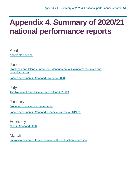# <span id="page-50-0"></span>**Appendix 4. Summary of 2020/21 national performance reports**

April [Affordable housing](https://www.audit-scotland.gov.uk/report/affordable-housing)

June [Highlands and Islands Enterprise: Management of Cairngorm mountain and](https://www.audit-scotland.gov.uk/report/highlands-and-islands-enterprise-management-of-cairngorm-mountain-and-funicular-railway)  [funicular railway](https://www.audit-scotland.gov.uk/report/highlands-and-islands-enterprise-management-of-cairngorm-mountain-and-funicular-railway)

[Local government in Scotland Overview 2020](https://www.audit-scotland.gov.uk/report/local-government-in-scotland-overview-2020)

July [The National Fraud Initiative in Scotland 2018/19](https://www.audit-scotland.gov.uk/report/the-national-fraud-initiative-in-scotland-201819)

**January** [Digital progress in local government](https://www.audit-scotland.gov.uk/report/digital-progress-in-local-government) [Local government in Scotland: Financial overview 2019/20](https://www.audit-scotland.gov.uk/report/local-government-in-scotland-financial-overview-201920)

February [NHS in Scotland 2020](https://www.audit-scotland.gov.uk/report/nhs-in-scotland-2020)

March [Improving outcomes for young people through school education](https://www.audit-scotland.gov.uk/report/improving-outcomes-for-young-people-through-school-education)